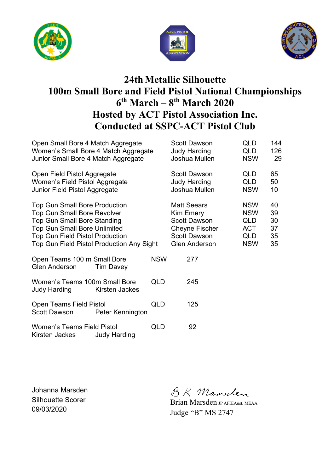





# **24th Metallic Silhouette 100m Small Bore and Field Pistol National Championships 6 th March – 8th March 2020 Hosted by ACT Pistol Association Inc. Conducted at SSPC-ACT Pistol Club**

| Open Small Bore 4 Match Aggregate<br>Women's Small Bore 4 Match Aggregate<br>Junior Small Bore 4 Match Aggregate                                                                                                                               |                     |            | <b>Scott Dawson</b><br><b>Judy Harding</b><br>Joshua Mullen                                                                    | QLD<br>QLD<br><b>NSW</b>                                                  | 144<br>126<br>29                 |
|------------------------------------------------------------------------------------------------------------------------------------------------------------------------------------------------------------------------------------------------|---------------------|------------|--------------------------------------------------------------------------------------------------------------------------------|---------------------------------------------------------------------------|----------------------------------|
| Open Field Pistol Aggregate<br>Women's Field Pistol Aggregate<br>Junior Field Pistol Aggregate                                                                                                                                                 |                     |            | <b>Scott Dawson</b><br><b>Judy Harding</b><br>Joshua Mullen                                                                    | QLD<br><b>QLD</b><br><b>NSW</b>                                           | 65<br>50<br>10                   |
| <b>Top Gun Small Bore Production</b><br><b>Top Gun Small Bore Revolver</b><br><b>Top Gun Small Bore Standing</b><br><b>Top Gun Small Bore Unlimited</b><br><b>Top Gun Field Pistol Production</b><br>Top Gun Field Pistol Production Any Sight |                     |            | <b>Matt Seears</b><br>Kim Emery<br><b>Scott Dawson</b><br><b>Cheyne Fischer</b><br><b>Scott Dawson</b><br><b>Glen Anderson</b> | <b>NSW</b><br><b>NSW</b><br>QLD<br><b>ACT</b><br><b>QLD</b><br><b>NSW</b> | 40<br>39<br>30<br>37<br>35<br>35 |
| Open Teams 100 m Small Bore<br><b>Glen Anderson</b>                                                                                                                                                                                            | <b>Tim Davey</b>    | <b>NSW</b> | 277                                                                                                                            |                                                                           |                                  |
| Women's Teams 100m Small Bore<br>Judy Harding                                                                                                                                                                                                  | Kirsten Jackes      | QLD        | 245                                                                                                                            |                                                                           |                                  |
| Open Teams Field Pistol<br><b>Scott Dawson</b>                                                                                                                                                                                                 | Peter Kennington    | <b>QLD</b> | 125                                                                                                                            |                                                                           |                                  |
| <b>Women's Teams Field Pistol</b><br>Kirsten Jackes                                                                                                                                                                                            | <b>Judy Harding</b> | QLD        | 92                                                                                                                             |                                                                           |                                  |

Johanna Marsden Silhouette Scorer 09/03/2020

BK Mansclen

Brian Marsden JP AFIEAust. MEAA Judge "B" MS 2747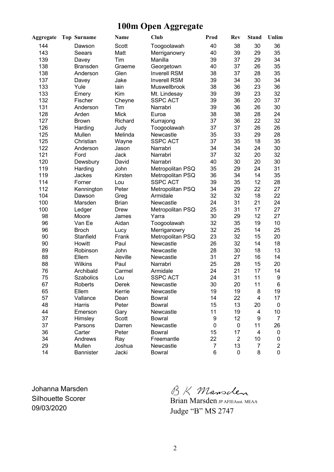### **100m Open Aggregate**

| <b>Aggregate</b> | <b>Top Surname</b> | Name         | Club                | Prod             | Rev            | <b>Stand</b> | Unlim          |
|------------------|--------------------|--------------|---------------------|------------------|----------------|--------------|----------------|
| 144              | Dawson             | Scott        | Toogoolawah         | 40               | 38             | 30           | 36             |
| 143              | Seears             | Matt         | Merriganowry        | 40               | 39             | 29           | 35             |
| 139              | Davey              | Tim          | Manilla             | 39               | 37             | 29           | 34             |
| 138              | <b>Bransden</b>    | Graeme       | Georgetown          | 40               | 37             | 26           | 35             |
| 138              | Anderson           | Glen         | <b>Inverell RSM</b> | 38               | 37             | 28           | 35             |
| 137              | Davey              | Jake         | <b>Inverell RSM</b> | 39               | 34             | 30           | 34             |
| 133              | Yule               | lain         | Muswellbrook        | 38               | 36             | 23           | 36             |
| 133              | Emery              | Kim          | Mt. Lindesay        | 39               | 39             | 23           | 32             |
| 132              | Fischer            | Cheyne       | <b>SSPC ACT</b>     | 39               | 36             | 20           | 37             |
| 131              | Anderson           | Tim          | Narrabri            | 39               | 36             | 26           | 30             |
| 128              | Arden              | <b>Mick</b>  | Euroa               | 38               | 38             | 28           | 24             |
| 127              | <b>Brown</b>       | Richard      | Kurrajong           | 37               | 36             | 22           | 32             |
| 126              | Harding            | Judy         | Toogoolawah         | 37               | 37             | 26           | 26             |
| 125              | Mullen             | Melinda      | Newcastle           | 35               | 33             | 29           | 28             |
| 125              | Christian          | Wayne        | <b>SSPC ACT</b>     | 37               | 35             | 18           | 35             |
| 122              | Anderson           | Jason        | Narrabri            | 34               | 34             | 24           | 30             |
| 121              | Ford               | Jack         | Narrabri            | 37               | 32             | 20           | 32             |
| 120              | Dewsbury           | David        | Narrabri            | 40               | 30             | 20           | 30             |
| 119              | Harding            | John         | Metropolitan PSQ    | 35               | 29             | 24           | 31             |
| 119              | <b>Jackes</b>      | Kirsten      | Metropolitan PSQ    | 36               | 34             | 14           | 35             |
| 114              | Forner             | Lou          | <b>SSPC ACT</b>     | 39               | 35             | 12           | 28             |
| 112              | Kennington         | Peter        | Metropolitan PSQ    | 34               | 29             | 22           | 27             |
| 104              | Dawson             | Greg         | Armidale            | 32               | 32             | 18           | 22             |
| 100              | Marsden            | <b>Brian</b> | Newcastle           | 24               | 31             | 21           | 24             |
| 100              | Ledger             | Drew         | Metropolitan PSQ    | 25               | 31             | 17           | 27             |
| 98               | Moore              | James        | Yarra               | 30               | 29             | 12           | 27             |
| 96               | Van Ee             | Aidan        | Toogoolawah         | 32               | 35             | 19           | 10             |
| 96               | <b>Broch</b>       | Lucy         | Merriganowry        | 32               | 25             | 14           | 25             |
| 90               | Stanfield          | Frank        | Metropolitan PSQ    | 23               | 32             | 15           | 20             |
| 90               | Howitt             | Paul         | Newcastle           | 26               | 32             | 14           | 18             |
| 89               | Robinson           | John         | Newcastle           | 28               | 30             | 18           | 13             |
| 88               | Ellem              | Neville      | Newcastle           | 31               | 27             | 16           | 14             |
| 88               | <b>Wilkins</b>     | Paul         | Narrabri            | 25               | 28             | 15           | 20             |
| 76               | Archibald          | Carmel       | Armidale            | 24               | 21             | 17           | 14             |
| 75               | <b>Szabolics</b>   | Lou          | <b>SSPC ACT</b>     | 24               | 31             | 11           | 9              |
| 67               | Roberts            | Derek        | Newcastle           | 30               | 20             | 11           | 6              |
| 65               | Ellem              | Kerrie       | Newcastle           | 19               | 19             | 8            | 19             |
| 57               | Vallance           | Dean         | <b>Bowral</b>       | 14               | 22             | 4            | 17             |
| 48               | Harris             | Peter        | <b>Bowral</b>       | 15               | 13             | 20           | 0              |
| 44               | Emerson            | Gary         | Newcastle           | 11               | 19             | 4            | 10             |
| 37               | Himsley            | Scott        | <b>Bowral</b>       | $\boldsymbol{9}$ | 12             | 9            | $\overline{7}$ |
| 37               | Parsons            | Darren       | Newcastle           | 0                | 0              | 11           | 26             |
| 36               | Carter             | Peter        | <b>Bowral</b>       | 15               | 17             | 4            | 0              |
| 34               | Andrews            | Ray          | Freemantle          | 22               | $\overline{c}$ | 10           | 0              |
| 29               | Mullen             | Joshua       | Newcastle           | 7                | 13             | 7            | 2              |
| 14               | Bannister          | Jacki        | <b>Bowral</b>       | 6                | 0              | 8            | 0              |

Johanna Marsden Silhouette Scorer 09/03/2020

BK Mansclen

Brian Marsden **JP AFIEAust. MEAA** Judge "B" MS 2747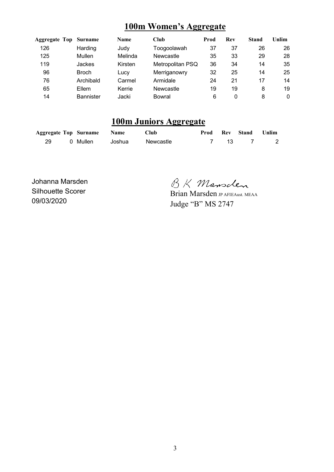#### **100m Women's Aggregate**

| <b>Aggregate Top</b> | Surname          | <b>Name</b> | Club             | Prod | <b>Rev</b> | <b>Stand</b> | Unlim |
|----------------------|------------------|-------------|------------------|------|------------|--------------|-------|
| 126                  | Harding          | Judy        | Toogoolawah      | 37   | 37         | 26           | 26    |
| 125                  | Mullen           | Melinda     | Newcastle        | 35   | 33         | 29           | 28    |
| 119                  | Jackes           | Kirsten     | Metropolitan PSQ | 36   | 34         | 14           | 35    |
| 96                   | <b>Broch</b>     | Lucy        | Merriganowry     | 32   | 25         | 14           | 25    |
| 76                   | Archibald        | Carmel      | Armidale         | 24   | 21         | 17           | 14    |
| 65                   | Ellem            | Kerrie      | Newcastle        | 19   | 19         | 8            | 19    |
| 14                   | <b>Bannister</b> | Jacki       | <b>Bowral</b>    | 6    | 0          | 8            | 0     |

### **100m Juniors Aggregate**

|  | <b>Aggregate Top Surname Name</b> |        | Club      |      | <b>Prod Rev Stand Unlim</b> |  |
|--|-----------------------------------|--------|-----------|------|-----------------------------|--|
|  | 0 Mullen                          | Joshua | Newcastle | 7 13 |                             |  |

Johanna Marsden Silhouette Scorer 09/03/2020

BK Mansclen

Brian Marsden JP AFIEAust. MEAA Judge "B" MS 2747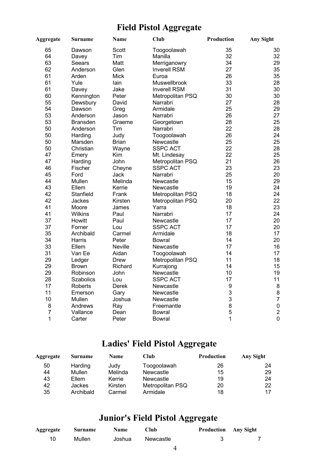## **Field Pistol Aggregate**

| <b>Aggregate</b> | <b>Surname</b>   | <b>Name</b>    | <b>Club</b>         | <b>Production</b> | <b>Any Sight</b> |
|------------------|------------------|----------------|---------------------|-------------------|------------------|
| 65               | Dawson           | Scott          | Toogoolawah         | 35                | 30               |
| 64               | Davey            | Tim            | Manilla             | 32                | 32               |
| 63               | Seears           | Matt           | Merriganowry        | 34                | 29               |
| 62               | Anderson         | Glen           | <b>Inverell RSM</b> | 27                | 35               |
| 61               | Arden            | Mick           | Euroa               | 26                | 35               |
| 61               | Yule             | lain           | Muswellbrook        | 33                | 28               |
| 61               | Davey            | Jake           | <b>Inverell RSM</b> | 31                | 30               |
| 60               | Kennington       | Peter          | Metropolitan PSQ    | 30                | 30               |
| 55               | Dewsbury         | David          | Narrabri            | 27                | 28               |
| 54               | Dawson           | Greg           | Armidale            | 25                | 29               |
| 53               | Anderson         | Jason          | Narrabri            | 26                | 27               |
| 53               | <b>Bransden</b>  | Graeme         | Georgetown          | 28                | 25               |
| 50               | Anderson         | Tim            | Narrabri            | 22                | 28               |
| 50               | Harding          | Judy           | Toogoolawah         | 26                | 24               |
| 50               | Marsden          | <b>Brian</b>   | Newcastle           | 25                | 25               |
| 50               | Christian        | Wayne          | <b>SSPC ACT</b>     | 22                | 28               |
| 47               | Emery            | Kim            | Mt. Lindesay        | 22                | 25               |
| 47               | Harding          | John           | Metropolitan PSQ    | 21                | 26               |
| 46               | Fischer          | Cheyne         | <b>SSPC ACT</b>     | 23                | 23               |
| 45               | Ford             | Jack           | Narrabri            | 25                | 20               |
| 44               | Mullen           | Melinda        | Newcastle           | 15                | 29               |
| 43               | Ellem            | Kerrie         | Newcastle           | 19                | 24               |
| 42               | Stanfield        | Frank          | Metropolitan PSQ    | 18                | 24               |
| 42               | Jackes           | Kirsten        | Metropolitan PSQ    | 20                | 22               |
| 41               | Moore            | James          | Yarra               | 18                | 23               |
| 41               | <b>Wilkins</b>   | Paul           | Narrabri            | 17                | 24               |
| 37               | Howitt           | Paul           | Newcastle           | 17                | 20               |
| 37               | Forner           | Lou            | <b>SSPC ACT</b>     | 17                | 20               |
| 35               | Archibald        | Carmel         | Armidale            | 18                | 17               |
| 34               | Harris           | Peter          | Bowral              | 14                | 20               |
| 33               | Ellem            | <b>Neville</b> | Newcastle           | 17                | 16               |
| 31               | Van Ee           | Aidan          | Toogoolawah         | 14                | 17               |
| 29               | Ledger           | Drew           | Metropolitan PSQ    | 11                | 18               |
| 29               | <b>Brown</b>     | Richard        | Kurrajong           | 14                | 15               |
| 29               | Robinson         | John           | Newcastle           | 10                | 19               |
| 28               | <b>Szabolics</b> | Lou            | <b>SSPC ACT</b>     | 17                | 11               |
| 17               | Roberts          | Derek          | Newcastle           | 9                 | $\bf 8$          |
| 11               | Emerson          | Gary           | Newcastle           | 3                 | 8                |
| 10               | Mullen           | Joshua         | Newcastle           | 3                 | $\overline{7}$   |
| 8                | Andrews          | Ray            | Freemantle          | 8                 | $\mathbf 0$      |
| $\overline{7}$   | Vallance         | Dean           | Bowral              | 5                 | $\overline{c}$   |
| 1                | Carter           | Peter          | Bowral              | 1                 | $\overline{0}$   |

# **Ladies' Field Pistol Aggregate**

| Aggregate | Surname       | <b>Name</b> | Club             | <b>Production</b> | <b>Any Sight</b> |
|-----------|---------------|-------------|------------------|-------------------|------------------|
| 50        | Harding       | Judy        | Toogoolawah      | 26                | 24               |
| 44        | Mullen        | Melinda     | Newcastle        | 15                | 29               |
| 43        | Ellem         | Kerrie      | Newcastle        | 19                | 24               |
| 42        | <b>Jackes</b> | Kirsten     | Metropolitan PSQ | 20                | 22               |
| 35        | Archibald     | Carmel      | Armidale         | 18                | 17               |

## **Junior's Field Pistol Aggregate**

| Aggregate | <b>Surname</b> | <b>Name</b> | Club      | <b>Production</b> Any Sight |  |
|-----------|----------------|-------------|-----------|-----------------------------|--|
| 10        | Mullen         | Joshua      | Newcastle |                             |  |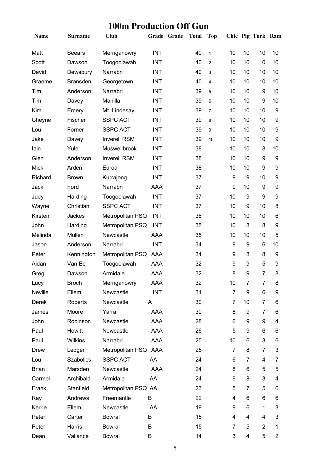## **100m Production Off Gun**

| Name         | <b>Surname</b>   | Club                 |            | Grade Grade | <b>Total</b> | <b>Top</b>     |                |    | Chic Pig Turk Ram |                  |
|--------------|------------------|----------------------|------------|-------------|--------------|----------------|----------------|----|-------------------|------------------|
| Matt         | Seears           | Merriganowry         | <b>INT</b> |             | 40           | $\mathbf{1}$   | 10             | 10 | 10                | 10               |
| Scott        | Dawson           | Toogoolawah          | <b>INT</b> |             | 40           | $\overline{2}$ | 10             | 10 | 10                | 10               |
| David        | Dewsbury         | Narrabri             | <b>INT</b> |             | 40           | 3              | 10             | 10 | 10                | 10               |
| Graeme       | <b>Bransden</b>  | Georgetown           | <b>INT</b> |             | 40           | 4              | 10             | 10 | 10                | 10               |
| Tim          | Anderson         | Narrabri             | <b>INT</b> |             | 39           | 5              | 10             | 10 | 9                 | 10               |
| Tim          | Davey            | Manilla              | <b>INT</b> |             | 39           | $\,6$          | 10             | 10 | 9                 | 10               |
| Kim          | Emery            | Mt. Lindesay         | <b>INT</b> |             | 39           | $\overline{7}$ | 10             | 10 | 10                | 9                |
| Cheyne       | Fischer          | <b>SSPC ACT</b>      | <b>INT</b> |             | 39           | 8              | 10             | 10 | 10                | 9                |
| Lou          | Forner           | <b>SSPC ACT</b>      | <b>INT</b> |             | 39           | 9              | 10             | 10 | 10                | 9                |
| Jake         | Davey            | <b>Inverell RSM</b>  | <b>INT</b> |             | 39           | 10             | 10             | 10 | 10                | 9                |
| lain         | Yule             | Muswellbrook         | <b>INT</b> |             | 38           |                | 10             | 10 | 8                 | 10               |
| Glen         | Anderson         | <b>Inverell RSM</b>  | <b>INT</b> |             | 38           |                | 10             | 10 | 9                 | 9                |
| <b>Mick</b>  | Arden            | Euroa                | <b>INT</b> |             | 38           |                | 10             | 10 | 9                 | 9                |
| Richard      | <b>Brown</b>     | Kurrajong            | <b>INT</b> |             | 37           |                | 9              | 9  | 10                | 9                |
| Jack         | Ford             | Narrabri             | AAA        |             | 37           |                | 9              | 10 | 9                 | 9                |
| Judy         | Harding          | Toogoolawah          | <b>INT</b> |             | 37           |                | 10             | 9  | 9                 | 9                |
| Wayne        | Christian        | <b>SSPC ACT</b>      | <b>INT</b> |             | 37           |                | 10             | 9  | 10                | 8                |
| Kirsten      | Jackes           | Metropolitan PSQ     | <b>INT</b> |             | 36           |                | 10             | 10 | 10                | 6                |
| John         | Harding          | Metropolitan PSQ     | <b>INT</b> |             | 35           |                | 10             | 8  | 8                 | 9                |
| Melinda      | Mullen           | Newcastle            | <b>AAA</b> |             | 35           |                | 10             | 10 | 10                | 5                |
| Jason        | Anderson         | Narrabri             | <b>INT</b> |             | 34           |                | 9              | 9  | 6                 | 10               |
| Peter        | Kennington       | Metropolitan PSQ     | AAA        |             | 34           |                | 9              | 8  | 8                 | 9                |
| Aidan        | Van Ee           | Toogoolawah          | AAA        |             | 32           |                | 9              | 9  | 5                 | $\boldsymbol{9}$ |
| Greg         | Dawson           | Armidale             | <b>AAA</b> |             | 32           |                | 8              | 9  | $\overline{7}$    | 8                |
| Lucy         | <b>Broch</b>     | Merriganowry         | AAA        |             | 32           |                | 10             | 7  | $\overline{7}$    | 8                |
| Neville      | Ellem            | Newcastle            | <b>INT</b> |             | 31           |                | 7              | 9  | 6                 | 9                |
| Derek        | Roberts          | Newcastle            | A          |             | 30           |                | 7              | 10 | 7                 | 6                |
| James        | Moore            | Yarra                | AAA        |             | 30           |                | 8              | 9  | 7                 | 6                |
| John         | Robinson         | Newcastle            | AAA        |             | 28           |                | 6              | 9  | 9                 | 4                |
| Paul         | Howitt           | Newcastle            | AAA        |             | 26           |                | 5              | 9  | 6                 | 6                |
| Paul         | Wilkins          | Narrabri             | AAA        |             | 25           |                | 10             | 6  | 3                 | 6                |
| Drew         | Ledger           | Metropolitan PSQ AAA |            |             | 25           |                | $\overline{7}$ | 8  | 7                 | 3                |
| Lou          | <b>Szabolics</b> | <b>SSPC ACT</b>      | AA         |             | 24           |                | 6              | 7  | 4                 | 7                |
| <b>Brian</b> | Marsden          | Newcastle            | AAA        |             | 24           |                | 8              | 6  | 5                 | 5                |
| Carmel       | Archibald        | Armidale             | AA         |             | 24           |                | 9              | 8  | 3                 | 4                |
| Frank        | Stanfield        | Metropolitan PSQ AA  |            |             | 23           |                | 5              | 7  | 5                 | 6                |
| Ray          | Andrews          | Freemantle           | B          |             | 22           |                | 4              | 6  | 6                 | 6                |
| Kerrie       | Ellem            | Newcastle            | AA         |             | 19           |                | 9              | 6  | 1                 | 3                |
| Peter        | Carter           | <b>Bowral</b>        | В          |             | 15           |                | 4              | 4  | 4                 | 3                |
| Peter        | Harris           | <b>Bowral</b>        | В          |             | 15           |                | 7              | 5  | $\overline{2}$    | 1                |
| Dean         | Vallance         | <b>Bowral</b>        | В          |             | 14           |                | 3              | 4  | 5                 | $\overline{2}$   |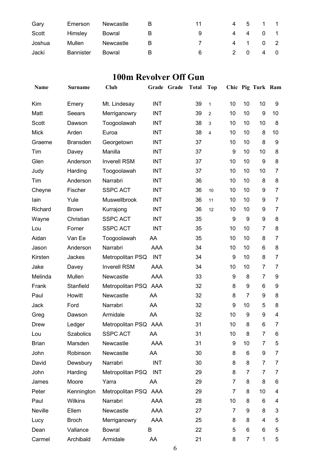| Gary   | Emerson          | Newcastle | к | 11 |     | 4 5 1 1 |     |  |
|--------|------------------|-----------|---|----|-----|---------|-----|--|
| Scott  | Himsley          | Bowral    |   | 9  |     | 4 4 0 1 |     |  |
| Joshua | Mullen           | Newcastle | R |    |     | 4 1 0 2 |     |  |
| Jacki  | <b>Bannister</b> | Bowral    |   | 6  | 2 0 |         | 4 0 |  |

### **100m Revolver Off Gun**

| Name         | Surname          | Club                 |            | Grade Grade | <b>Total</b> | <b>Top</b>     |                |                | Chic Pig Turk Ram |                |
|--------------|------------------|----------------------|------------|-------------|--------------|----------------|----------------|----------------|-------------------|----------------|
| Kim          | Emery            | Mt. Lindesay         | <b>INT</b> |             | 39           | $\mathbf{1}$   | 10             | 10             | 10                | 9              |
| Matt         | Seears           | Merriganowry         | <b>INT</b> |             | 39           | 2              | 10             | 10             | 9                 | 10             |
| Scott        | Dawson           | Toogoolawah          | <b>INT</b> |             | 38           | 3              | 10             | 10             | 10                | 8              |
| <b>Mick</b>  | Arden            | Euroa                | <b>INT</b> |             | 38           | $\overline{4}$ | 10             | 10             | 8                 | 10             |
| Graeme       | <b>Bransden</b>  | Georgetown           | <b>INT</b> |             | 37           |                | 10             | 10             | 8                 | 9              |
| Tim          | Davey            | Manilla              | <b>INT</b> |             | 37           |                | 9              | 10             | 10                | 8              |
| Glen         | Anderson         | <b>Inverell RSM</b>  | <b>INT</b> |             | 37           |                | 10             | 10             | 9                 | 8              |
| Judy         | Harding          | Toogoolawah          | <b>INT</b> |             | 37           |                | 10             | 10             | 10                | 7              |
| Tim          | Anderson         | Narrabri             | <b>INT</b> |             | 36           |                | 10             | 10             | 8                 | 8              |
| Cheyne       | Fischer          | <b>SSPC ACT</b>      | <b>INT</b> |             | 36           | 10             | 10             | 10             | 9                 | 7              |
| lain         | Yule             | Muswellbrook         | <b>INT</b> |             | 36           | 11             | 10             | 10             | 9                 | $\overline{7}$ |
| Richard      | <b>Brown</b>     | Kurrajong            | <b>INT</b> |             | 36           | 12             | 10             | 10             | 9                 | 7              |
| Wayne        | Christian        | <b>SSPC ACT</b>      | <b>INT</b> |             | 35           |                | 9              | 9              | 9                 | 8              |
| Lou          | Forner           | <b>SSPC ACT</b>      | <b>INT</b> |             | 35           |                | 10             | 10             | $\overline{7}$    | 8              |
| Aidan        | Van Ee           | Toogoolawah          | AA         |             | 35           |                | 10             | 10             | 8                 | 7              |
| Jason        | Anderson         | Narrabri             | <b>AAA</b> |             | 34           |                | 10             | 10             | 6                 | 8              |
| Kirsten      | Jackes           | Metropolitan PSQ     | <b>INT</b> |             | 34           |                | 9              | 10             | 8                 | 7              |
| Jake         | Davey            | <b>Inverell RSM</b>  | <b>AAA</b> |             | 34           |                | 10             | 10             | $\overline{7}$    | 7              |
| Melinda      | Mullen           | Newcastle            | <b>AAA</b> |             | 33           |                | 9              | 8              | 7                 | 9              |
| Frank        | Stanfield        | Metropolitan PSQ AAA |            |             | 32           |                | 8              | 9              | 6                 | 9              |
| Paul         | Howitt           | Newcastle            | AA         |             | 32           |                | 8              | $\overline{7}$ | 9                 | 8              |
| Jack         | Ford             | Narrabri             | AA         |             | 32           |                | 9              | 10             | 5                 | 8              |
| Greg         | Dawson           | Armidale             | AA         |             | 32           |                | 10             | 9              | 9                 | 4              |
| Drew         | Ledger           | Metropolitan PSQ AAA |            |             | 31           |                | 10             | 8              | 6                 | 7              |
| Lou          | <b>Szabolics</b> | SSPC ACT             | AA         |             | 31           |                | 10             | 8              | 7                 | 6.             |
| <b>Brian</b> | Marsden          | Newcastle            | AAA        |             | 31           |                | 9              | 10             | 7                 | 5              |
| John         | Robinson         | Newcastle            | AA         |             | 30           |                | 8              | 6              | 9                 | 7              |
| David        | Dewsbury         | Narrabri             | <b>INT</b> |             | 30           |                | 8              | 8              | 7                 | 7              |
| John         | Harding          | Metropolitan PSQ INT |            |             | 29           |                | 8              | 7              | 7                 | 7              |
| James        | Moore            | Yarra                | AA         |             | 29           |                | 7              | 8              | 8                 | 6              |
| Peter        | Kennington       | Metropolitan PSQ AAA |            |             | 29           |                | $\overline{7}$ | 8              | 10                | 4              |
| Paul         | Wilkins          | Narrabri             | AAA        |             | 28           |                | 10             | 8              | 6                 | 4              |
| Neville      | Ellem            | Newcastle            | AAA        |             | 27           |                | 7              | 9              | 8                 | 3              |
| Lucy         | <b>Broch</b>     | Merriganowry         | AAA        |             | 25           |                | 8              | 8              | 4                 | 5              |
| Dean         | Vallance         | <b>Bowral</b>        | B          |             | 22           |                | 5              | 6              | 6                 | 5              |
| Carmel       | Archibald        | Armidale             | AA         |             | 21           |                | 8              | 7              | 1                 | 5              |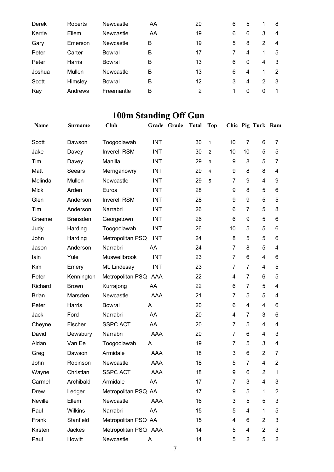| Derek  | Roberts | Newcastle  | AA | 20 | 6 | 5            |   | 8  |
|--------|---------|------------|----|----|---|--------------|---|----|
| Kerrie | Ellem   | Newcastle  | AA | 19 | 6 | 6            | 3 | 4  |
| Gary   | Emerson | Newcastle  | в  | 19 | 5 | 8            | 2 | 4  |
| Peter  | Carter  | Bowral     | в  | 17 |   | 4            | 1 | 5  |
| Peter  | Harris  | Bowral     | в  | 13 | 6 | 0            | 4 | 3  |
| Joshua | Mullen  | Newcastle  | в  | 13 | 6 | 4            | 1 | 2  |
| Scott  | Himsley | Bowral     | в  | 12 | 3 | 4            | 2 | 3  |
| Ray    | Andrews | Freemantle | в  | 2  |   | $\mathbf{0}$ | 0 | -1 |
|        |         |            |    |    |   |              |   |    |

# **100m Standing Off Gun**

| Name         | <b>Surname</b>  | Club                 |            | Grade Grade | <b>Total</b> | Top            |                |                | Chic Pig Turk Ram |                |
|--------------|-----------------|----------------------|------------|-------------|--------------|----------------|----------------|----------------|-------------------|----------------|
| Scott        | Dawson          | Toogoolawah          | <b>INT</b> |             | 30           | $\mathbf{1}$   | 10             | $\overline{7}$ | 6                 | 7              |
| Jake         | Davey           | <b>Inverell RSM</b>  | <b>INT</b> |             | 30           | $\overline{2}$ | 10             | 10             | 5                 | 5              |
| Tim          | Davey           | Manilla              | <b>INT</b> |             | 29           | 3              | 9              | 8              | 5                 | $\overline{7}$ |
| Matt         | Seears          | Merriganowry         | <b>INT</b> |             | 29           | 4              | 9              | 8              | 8                 | 4              |
| Melinda      | Mullen          | Newcastle            | <b>INT</b> |             | 29           | 5              | 7              | 9              | 4                 | 9              |
| <b>Mick</b>  | Arden           | Euroa                | <b>INT</b> |             | 28           |                | 9              | 8              | 5                 | 6              |
| Glen         | Anderson        | <b>Inverell RSM</b>  | INT        |             | 28           |                | 9              | 9              | 5                 | 5              |
| Tim          | Anderson        | Narrabri             | <b>INT</b> |             | 26           |                | 6              | 7              | 5                 | 8              |
| Graeme       | <b>Bransden</b> | Georgetown           | <b>INT</b> |             | 26           |                | 6              | 9              | 5                 | 6              |
| Judy         | Harding         | Toogoolawah          | <b>INT</b> |             | 26           |                | 10             | 5              | 5                 | 6              |
| John         | Harding         | Metropolitan PSQ     | <b>INT</b> |             | 24           |                | 8              | 5              | 5                 | 6              |
| Jason        | Anderson        | Narrabri             | AA         |             | 24           |                | 7              | 8              | 5                 | 4              |
| lain         | Yule            | Muswellbrook         | <b>INT</b> |             | 23           |                | $\overline{7}$ | 6              | 4                 | 6              |
| Kim          | Emery           | Mt. Lindesay         | INT        |             | 23           |                | 7              | 7              | 4                 | 5              |
| Peter        | Kennington      | Metropolitan PSQ AAA |            |             | 22           |                | 4              | 7              | 6                 | 5              |
| Richard      | <b>Brown</b>    | Kurrajong            | AA         |             | 22           |                | 6              | 7              | 5                 | 4              |
| <b>Brian</b> | Marsden         | Newcastle            | <b>AAA</b> |             | 21           |                | 7              | 5              | 5                 | 4              |
| Peter        | Harris          | <b>Bowral</b>        | A          |             | 20           |                | 6              | 4              | 4                 | 6              |
| Jack         | Ford            | Narrabri             | AA         |             | 20           |                | 4              | 7              | 3                 | 6              |
| Cheyne       | Fischer         | <b>SSPC ACT</b>      | AA         |             | 20           |                | $\overline{7}$ | 5              | 4                 | 4              |
| David        | Dewsbury        | Narrabri             | AAA        |             | 20           |                | 7              | 6              | 4                 | 3              |
| Aidan        | Van Ee          | Toogoolawah          | A          |             | 19           |                | 7              | 5              | 3                 | 4              |
| Greg         | Dawson          | Armidale             | AAA        |             | 18           |                | 3              | 6              | $\overline{2}$    | 7              |
| John         | Robinson        | Newcastle            | AAA        |             | 18           |                | 5              | $\overline{7}$ | 4                 | $\overline{2}$ |
| Wayne        | Christian       | <b>SSPC ACT</b>      | AAA        |             | 18           |                | 9              | 6.             | $\overline{2}$    | 1.             |
| Carmel       | Archibald       | Armidale             | AA         |             | 17           |                | 7              | 3              | 4                 | 3              |
| <b>Drew</b>  | Ledger          | Metropolitan PSQ AA  |            |             | 17           |                | 9              | 5              | 1                 | 2              |
| Neville      | Ellem           | Newcastle            | <b>AAA</b> |             | 16           |                | 3              | 5              | 5                 | 3              |
| Paul         | Wilkins         | Narrabri             | AA         |             | 15           |                | 5              | 4              | 1                 | 5              |
| Frank        | Stanfield       | Metropolitan PSQ AA  |            |             | 15           |                | 4              | 6              | $\overline{2}$    | 3              |
| Kirsten      | Jackes          | Metropolitan PSQ AAA |            |             | 14           |                | 5              | 4              | $\overline{2}$    | 3              |
| Paul         | Howitt          | Newcastle            | A          |             | 14           |                | 5              | $\overline{2}$ | 5                 | $\overline{2}$ |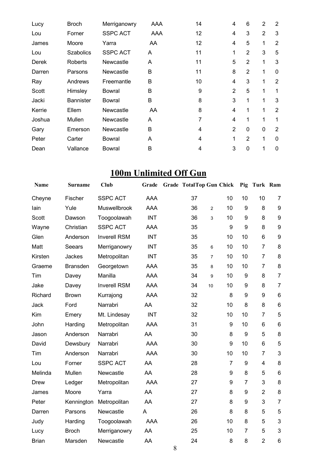| Lucy   | <b>Broch</b>     | Merriganowry    | <b>AAA</b> | 14 | 4              | 6              | 2              | 2              |
|--------|------------------|-----------------|------------|----|----------------|----------------|----------------|----------------|
| Lou    | Forner           | <b>SSPC ACT</b> | AAA        | 12 | 4              | 3              | $\overline{2}$ | 3              |
| James  | Moore            | Yarra           | AA         | 12 | 4              | 5              | 1              | $\overline{2}$ |
| Lou    | <b>Szabolics</b> | <b>SSPC ACT</b> | A          | 11 | 1              | 2              | 3              | 5              |
| Derek  | <b>Roberts</b>   | Newcastle       | A          | 11 | 5              | $\overline{2}$ | 1              | 3              |
| Darren | Parsons          | Newcastle       | B          | 11 | 8              | $\overline{2}$ | 1              | 0              |
| Ray    | Andrews          | Freemantle      | B          | 10 | 4              | 3              | 1              | $\overline{2}$ |
| Scott  | Himsley          | Bowral          | B          | 9  | $\overline{2}$ | 5              | 1              | 1              |
| Jacki  | <b>Bannister</b> | <b>Bowral</b>   | B          | 8  | 3              | 1              | 1              | 3              |
| Kerrie | Ellem            | Newcastle       | AA         | 8  | 4              | 1              | 1              | $\overline{2}$ |
| Joshua | Mullen           | Newcastle       | A          | 7  | 4              | 1              | 1              | 1              |
| Gary   | Emerson          | Newcastle       | B          | 4  | $\overline{2}$ | 0              | $\mathbf 0$    | $\overline{2}$ |
| Peter  | Carter           | Bowral          | A          | 4  | 1              | $\overline{2}$ | 1              | $\Omega$       |
| Dean   | Vallance         | Bowral          | B          | 4  | 3              | 0              | 1              | 0              |

# **100m Unlimited Off Gun**

| Name         | <b>Surname</b>  | <b>Club</b>         | Grade      | <b>Grade TotalTop Gun Chick</b> |                |                | Pig            | Turk Ram       |                           |
|--------------|-----------------|---------------------|------------|---------------------------------|----------------|----------------|----------------|----------------|---------------------------|
| Cheyne       | Fischer         | <b>SSPC ACT</b>     | <b>AAA</b> | 37                              |                | 10             | 10             | 10             | $\overline{7}$            |
| lain         | Yule            | Muswellbrook        | <b>AAA</b> | 36                              | $\overline{2}$ | 10             | 9              | 8              | $\boldsymbol{9}$          |
| Scott        | Dawson          | Toogoolawah         | <b>INT</b> | 36                              | 3              | 10             | 9              | 8              | 9                         |
| Wayne        | Christian       | <b>SSPC ACT</b>     | AAA        | 35                              |                | 9              | 9              | 8              | 9                         |
| Glen         | Anderson        | <b>Inverell RSM</b> | <b>INT</b> | 35                              |                | 10             | 10             | 6              | 9                         |
| Matt         | Seears          | Merriganowry        | <b>INT</b> | 35                              | 6              | 10             | 10             | $\overline{7}$ | 8                         |
| Kirsten      | Jackes          | Metropolitan        | <b>INT</b> | 35                              | $\overline{7}$ | 10             | 10             | $\overline{7}$ | 8                         |
| Graeme       | <b>Bransden</b> | Georgetown          | AAA        | 35                              | 8              | 10             | 10             | $\overline{7}$ | 8                         |
| Tim          | Davey           | Manilla             | AAA        | 34                              | 9              | 10             | 9              | 8              | $\overline{7}$            |
| Jake         | Davey           | <b>Inverell RSM</b> | AAA        | 34                              | 10             | 10             | 9              | 8              | $\overline{7}$            |
| Richard      | <b>Brown</b>    | Kurrajong           | <b>AAA</b> | 32                              |                | 8              | 9              | 9              | 6                         |
| Jack         | Ford            | Narrabri            | AA         | 32                              |                | 10             | 8              | 8              | $6\phantom{1}$            |
| Kim          | Emery           | Mt. Lindesay        | <b>INT</b> | 32                              |                | 10             | 10             | $\overline{7}$ | 5                         |
| John         | Harding         | Metropolitan        | <b>AAA</b> | 31                              |                | 9              | 10             | 6              | 6                         |
| Jason        | Anderson        | Narrabri            | AA         | 30                              |                | 8              | 9              | 5              | 8                         |
| David        | Dewsbury        | Narrabri            | <b>AAA</b> | 30                              |                | 9              | 10             | 6              | 5                         |
| Tim          | Anderson        | Narrabri            | AAA        | 30                              |                | 10             | 10             | $\overline{7}$ | 3                         |
| Lou          | Forner          | <b>SSPC ACT</b>     | AA         | 28                              |                | $\overline{7}$ | 9              | $\overline{4}$ | 8                         |
| Melinda      | Mullen          | Newcastle           | AA         | 28                              |                | 9              | 8              | 5              | 6                         |
| <b>Drew</b>  | Ledger          | Metropolitan        | <b>AAA</b> | 27                              |                | 9              | $\overline{7}$ | 3              | 8                         |
| James        | Moore           | Yarra               | AA         | 27                              |                | 8              | 9              | $\overline{2}$ | 8                         |
| Peter        | Kennington      | Metropolitan        | AA         | 27                              |                | 8              | 9              | 3              | $\overline{7}$            |
| Darren       | Parsons         | Newcastle           | A          | 26                              |                | 8              | 8              | 5              | 5                         |
| Judy         | Harding         | Toogoolawah         | <b>AAA</b> | 26                              |                | 10             | 8              | 5              | $\ensuremath{\mathsf{3}}$ |
| Lucy         | <b>Broch</b>    | Merriganowry        | AA         | 25                              |                | 10             | $\overline{7}$ | 5              | 3                         |
| <b>Brian</b> | Marsden         | Newcastle           | AA         | 24                              |                | 8              | 8              | $\overline{2}$ | $6\phantom{1}6$           |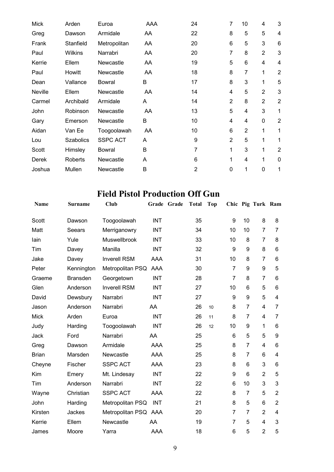| <b>Mick</b> | Arden            | Euroa           | <b>AAA</b> | 24             | 7              | 10             | 4              | 3                        |
|-------------|------------------|-----------------|------------|----------------|----------------|----------------|----------------|--------------------------|
| Greg        | Dawson           | Armidale        | AA         | 22             | 8              | 5              | 5              | 4                        |
| Frank       | Stanfield        | Metropolitan    | AA         | 20             | 6              | 5              | 3              | 6                        |
| Paul        | <b>Wilkins</b>   | Narrabri        | AA         | 20             | 7              | 8              | $\overline{2}$ | 3                        |
| Kerrie      | Ellem            | Newcastle       | AA         | 19             | 5              | 6              | 4              | $\overline{\mathcal{A}}$ |
| Paul        | Howitt           | Newcastle       | AA         | 18             | 8              | 7              | 1              | $\overline{2}$           |
| Dean        | Vallance         | Bowral          | B          | 17             | 8              | 3              | 1              | 5                        |
| Neville     | Ellem            | Newcastle       | AA         | 14             | 4              | 5              | $\overline{2}$ | 3                        |
| Carmel      | Archibald        | Armidale        | A          | 14             | $\overline{2}$ | 8              | $\overline{2}$ | $\overline{2}$           |
| John        | Robinson         | Newcastle       | AA         | 13             | 5              | 4              | 3              | 1                        |
| Gary        | Emerson          | Newcastle       | B          | 10             | 4              | 4              | $\mathbf 0$    | $\overline{2}$           |
| Aidan       | Van Ee           | Toogoolawah     | AA         | 10             | 6              | $\overline{2}$ | 1              | 1                        |
| Lou         | <b>Szabolics</b> | <b>SSPC ACT</b> | A          | 9              | $\overline{2}$ | 5              | 1              | 1                        |
| Scott       | Himsley          | <b>Bowral</b>   | B          | 7              | 1              | 3              | 1              | $\overline{2}$           |
| Derek       | Roberts          | Newcastle       | Α          | 6              | 1              | 4              | 1              | $\mathbf 0$              |
| Joshua      | Mullen           | Newcastle       | B          | $\overline{2}$ | 0              | 1              | $\Omega$       | 1                        |

## **Field Pistol Production Off Gun**

| Name         | <b>Surname</b>  | Club                 |            | Grade Grade | <b>Total</b> | <b>Top</b> |                |                | Chic Pig Turk Ram |                |
|--------------|-----------------|----------------------|------------|-------------|--------------|------------|----------------|----------------|-------------------|----------------|
| Scott        | Dawson          | Toogoolawah          | <b>INT</b> |             | 35           |            | 9              | 10             | 8                 | 8              |
| Matt         | Seears          | Merriganowry         | <b>INT</b> |             | 34           |            | 10             | 10             | $\overline{7}$    | 7              |
| lain         | Yule            | Muswellbrook         | <b>INT</b> |             | 33           |            | 10             | 8              | 7                 | 8              |
| Tim          | Davey           | Manilla              | <b>INT</b> |             | 32           |            | 9              | 9              | 8                 | 6              |
| Jake         | Davey           | <b>Inverell RSM</b>  | <b>AAA</b> |             | 31           |            | 10             | 8              | $\overline{7}$    | 6              |
| Peter        | Kennington      | Metropolitan PSQ     | AAA        |             | 30           |            | $\overline{7}$ | 9              | 9                 | 5              |
| Graeme       | <b>Bransden</b> | Georgetown           | <b>INT</b> |             | 28           |            | $\overline{7}$ | 8              | $\overline{7}$    | 6              |
| Glen         | Anderson        | <b>Inverell RSM</b>  | <b>INT</b> |             | 27           |            | 10             | 6              | 5                 | 6              |
| David        | Dewsbury        | Narrabri             | <b>INT</b> |             | 27           |            | 9              | 9              | 5                 | 4              |
| Jason        | Anderson        | Narrabri             | AA         |             | 26           | 10         | 8              | $\overline{7}$ | 4                 | 7              |
| <b>Mick</b>  | Arden           | Euroa                | <b>INT</b> |             | 26           | 11         | 8              | $\overline{7}$ | 4                 | $\overline{7}$ |
| Judy         | Harding         | Toogoolawah          | <b>INT</b> |             | 26           | 12         | 10             | 9              | 1                 | 6              |
| Jack         | Ford            | Narrabri             | AA         |             | 25           |            | 6              | 5              | 5                 | 9              |
| Greg         | Dawson          | Armidale             | <b>AAA</b> |             | 25           |            | 8              | $\overline{7}$ | 4                 | 6              |
| <b>Brian</b> | Marsden         | Newcastle            | <b>AAA</b> |             | 25           |            | 8              | $\overline{7}$ | 6                 | $\overline{4}$ |
| Cheyne       | Fischer         | <b>SSPC ACT</b>      | <b>AAA</b> |             | 23           |            | 8              | 6              | 3                 | 6              |
| Kim          | Emery           | Mt. Lindesay         | <b>INT</b> |             | 22           |            | 9              | 6              | $\overline{2}$    | 5              |
| Tim          | Anderson        | Narrabri             | <b>INT</b> |             | 22           |            | 6              | 10             | 3                 | 3              |
| Wayne        | Christian       | <b>SSPC ACT</b>      | AAA        |             | 22           |            | 8              | $\overline{7}$ | 5                 | $\overline{2}$ |
| John         | Harding         | Metropolitan PSQ     | <b>INT</b> |             | 21           |            | 8              | 5              | 6                 | $\overline{2}$ |
| Kirsten      | Jackes          | Metropolitan PSQ AAA |            |             | 20           |            | 7              | $\overline{7}$ | $\overline{2}$    | 4              |
| Kerrie       | Ellem           | Newcastle            | AA         |             | 19           |            | 7              | 5              | 4                 | 3              |
| James        | Moore           | Yarra                | AAA        |             | 18           |            | 6              | 5              | $\overline{2}$    | 5              |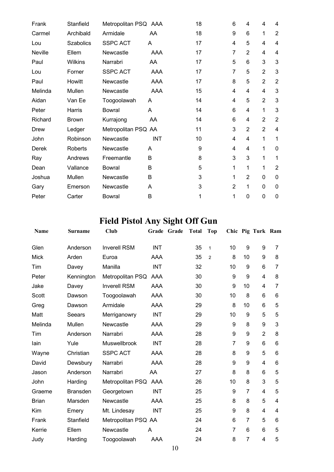| Frank       | Stanfield        | Metropolitan PSQ AAA |     | 18 | 6            | 4              | 4              | 4              |
|-------------|------------------|----------------------|-----|----|--------------|----------------|----------------|----------------|
| Carmel      | Archibald        | Armidale             | AA  | 18 | 9            | 6              | 1              | $\overline{2}$ |
| Lou         | <b>Szabolics</b> | <b>SSPC ACT</b>      | A   | 17 | 4            | 5              | 4              | 4              |
| Neville     | Ellem            | Newcastle            | AAA | 17 | 7            | 2              | 4              | 4              |
| Paul        | Wilkins          | Narrabri             | AA  | 17 | 5            | 6              | 3              | 3              |
| Lou         | Forner           | <b>SSPC ACT</b>      | AAA | 17 | 7            | 5              | $\overline{2}$ | 3              |
| Paul        | Howitt           | Newcastle            | AAA | 17 | 8            | 5              | $\overline{2}$ | $\overline{2}$ |
| Melinda     | Mullen           | Newcastle            | AAA | 15 | 4            | 4              | 4              | 3              |
| Aidan       | Van Ee           | Toogoolawah          | A   | 14 | 4            | 5              | $\overline{2}$ | 3              |
| Peter       | Harris           | Bowral               | A   | 14 | 6            | 4              | 1              | 3              |
| Richard     | <b>Brown</b>     | Kurrajong            | AA  | 14 | 6            | 4              | $\overline{2}$ | $\overline{2}$ |
| <b>Drew</b> | Ledger           | Metropolitan PSQ AA  |     | 11 | 3            | $\overline{2}$ | $\overline{2}$ | 4              |
| John        | Robinson         | Newcastle            | INT | 10 | 4            | $\overline{4}$ | 1              | 1              |
| Derek       | Roberts          | Newcastle            | A   | 9  | 4            | $\overline{4}$ | 1              | $\mathbf 0$    |
| Ray         | Andrews          | Freemantle           | B   | 8  | 3            | 3              | 1              | 1              |
| Dean        | Vallance         | Bowral               | B   | 5  | $\mathbf{1}$ | 1              | 1              | $\overline{2}$ |
| Joshua      | Mullen           | Newcastle            | B   | 3  | 1            | 2              | 0              | 0              |
| Gary        | Emerson          | Newcastle            | A   | 3  | 2            | 1              | 0              | 0              |
| Peter       | Carter           | Bowral               | B   | 1  | 1            | $\mathbf{0}$   | 0              | 0              |

# **Field Pistol Any Sight Off Gun**

| Name         | Surname         | Club                 |            | Grade Grade | <b>Total</b> | Top            |                |                | Chic Pig Turk Ram |   |
|--------------|-----------------|----------------------|------------|-------------|--------------|----------------|----------------|----------------|-------------------|---|
| Glen         | Anderson        | <b>Inverell RSM</b>  | <b>INT</b> |             | 35           | $\mathbf{1}$   | 10             | 9              | 9                 | 7 |
| <b>Mick</b>  | Arden           | Euroa                | AAA        |             | 35           | $\overline{2}$ | 8              | 10             | 9                 | 8 |
| Tim          | Davey           | Manilla              | <b>INT</b> |             | 32           |                | 10             | 9              | 6                 | 7 |
| Peter        | Kennington      | Metropolitan PSQ     | AAA        |             | 30           |                | 9              | 9              | 4                 | 8 |
| Jake         | Davey           | <b>Inverell RSM</b>  | AAA        |             | 30           |                | 9              | 10             | 4                 | 7 |
| Scott        | Dawson          | Toogoolawah          | AAA        |             | 30           |                | 10             | 8              | 6                 | 6 |
| Greg         | Dawson          | Armidale             | <b>AAA</b> |             | 29           |                | 8              | 10             | $6\phantom{1}6$   | 5 |
| Matt         | <b>Seears</b>   | Merriganowry         | <b>INT</b> |             | 29           |                | 10             | 9              | 5                 | 5 |
| Melinda      | Mullen          | Newcastle            | AAA        |             | 29           |                | 9              | 8              | 9                 | 3 |
| Tim          | Anderson        | Narrabri             | AAA        |             | 28           |                | 9              | 9              | $\overline{2}$    | 8 |
| lain         | Yule            | Muswellbrook         | <b>INT</b> |             | 28           |                | $\overline{7}$ | 9              | $6\phantom{1}$    | 6 |
| Wayne        | Christian       | <b>SSPC ACT</b>      | <b>AAA</b> |             | 28           |                | 8              | 9              | 5                 | 6 |
| David        | Dewsbury        | Narrabri             | <b>AAA</b> |             | 28           |                | 9              | 9              | $\overline{4}$    | 6 |
| Jason        | Anderson        | Narrabri             | AA         |             | 27           |                | 8              | 8              | $6\phantom{1}$    | 5 |
| John         | Harding         | Metropolitan PSQ AAA |            |             | 26           |                | 10             | 8              | 3                 | 5 |
| Graeme       | <b>Bransden</b> | Georgetown           | <b>INT</b> |             | 25           |                | 9              | 7              | $\overline{4}$    | 5 |
| <b>Brian</b> | Marsden         | Newcastle            | AAA        |             | 25           |                | 8              | 8              | 5                 | 4 |
| Kim          | Emery           | Mt. Lindesay         | <b>INT</b> |             | 25           |                | 9              | 8              | $\overline{4}$    | 4 |
| Frank        | Stanfield       | Metropolitan PSQ AA  |            |             | 24           |                | 6              | 7              | 5                 | 6 |
| Kerrie       | Ellem           | Newcastle            | A          |             | 24           |                | $\overline{7}$ | $6\phantom{1}$ | $6\phantom{1}$    | 5 |
| Judy         | Harding         | Toogoolawah          | <b>AAA</b> |             | 24           |                | 8              | $\overline{7}$ | 4                 | 5 |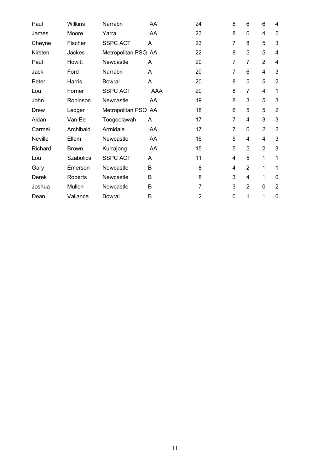| Paul           | <b>Wilkins</b> | Narrabri            | AA  | 24             | 8           | 6              | 6              | 4              |
|----------------|----------------|---------------------|-----|----------------|-------------|----------------|----------------|----------------|
| James          | Moore          | Yarra               | AA  | 23             | 8           | 6              | 4              | 5              |
| Cheyne         | Fischer        | <b>SSPC ACT</b>     | A   | 23             | 7           | 8              | 5              | 3              |
| Kirsten        | Jackes         | Metropolitan PSQ AA |     | 22             | 8           | 5              | 5              | 4              |
| Paul           | Howitt         | Newcastle           | A   | 20             | 7           | 7              | $\overline{2}$ | 4              |
| Jack           | Ford           | Narrabri            | A   | 20             | 7           | 6              | 4              | 3              |
| Peter          | Harris         | Bowral              | A   | 20             | 8           | 5              | 5              | $\overline{2}$ |
| Lou            | Forner         | <b>SSPC ACT</b>     | AAA | 20             | 8           | 7              | 4              | 1              |
| John           | Robinson       | Newcastle           | AA  | 19             | 8           | 3              | 5              | 3              |
| Drew           | Ledger         | Metropolitan PSQ AA |     | 18             | 6           | 5              | 5              | $\overline{2}$ |
| Aidan          | Van Ee         | Toogoolawah         | A   | 17             | 7           | 4              | 3              | 3              |
| Carmel         | Archibald      | Armidale            | AA  | 17             | 7           | 6              | $\overline{2}$ | $\overline{2}$ |
| <b>Neville</b> | Ellem          | Newcastle           | AA  | 16             | 5           | 4              | 4              | 3              |
| Richard        | <b>Brown</b>   | Kurrajong           | AA  | 15             | 5           | 5              | $\overline{2}$ | 3              |
| Lou            | Szabolics      | <b>SSPC ACT</b>     | A   | 11             | 4           | 5              | 1              | 1              |
| Gary           | Emerson        | Newcastle           | B   | 8              | 4           | $\overline{2}$ | 1              | 1              |
| Derek          | Roberts        | Newcastle           | B   | 8              | 3           | 4              | 1              | 0              |
| Joshua         | Mullen         | Newcastle           | B   | $\overline{7}$ | 3           | $\overline{2}$ | 0              | $\overline{2}$ |
| Dean           | Vallance       | <b>Bowral</b>       | B   | $\overline{2}$ | $\mathbf 0$ | 1              | 1              | 0              |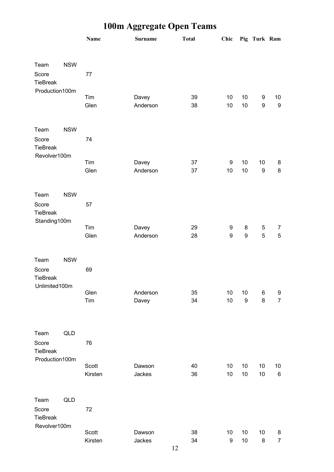|                                          |            | <b>Name</b> | <b>Surname</b>    | <b>Total</b> | Chic             |                  | Pig Turk Ram     |                        |
|------------------------------------------|------------|-------------|-------------------|--------------|------------------|------------------|------------------|------------------------|
| Team                                     | <b>NSW</b> |             |                   |              |                  |                  |                  |                        |
| Score<br>TieBreak                        |            | 77          |                   |              |                  |                  |                  |                        |
| Production100m                           |            |             |                   |              |                  |                  |                  |                        |
|                                          |            | Tim<br>Glen | Davey<br>Anderson | 39<br>38     | 10<br>10         | $10$<br>10       | 9<br>9           | 10<br>$\boldsymbol{9}$ |
| Team                                     | <b>NSW</b> |             |                   |              |                  |                  |                  |                        |
| Score<br><b>TieBreak</b>                 |            | 74          |                   |              |                  |                  |                  |                        |
| Revolver100m                             |            | Tim         | Davey             | 37           | 9                | 10               | 10               | 8                      |
|                                          |            | Glen        | Anderson          | 37           | 10               | 10               | $\boldsymbol{9}$ | 8                      |
| Team                                     | <b>NSW</b> |             |                   |              |                  |                  |                  |                        |
| Score<br>TieBreak<br>Standing100m        |            | 57          |                   |              |                  |                  |                  |                        |
|                                          |            | Tim         | Davey             | 29           | 9                | 8                | 5                | $\overline{7}$         |
|                                          |            | Glen        | Anderson          | 28           | $\boldsymbol{9}$ | 9                | 5                | $\sqrt{5}$             |
| Team                                     | <b>NSW</b> |             |                   |              |                  |                  |                  |                        |
| Score<br><b>TieBreak</b>                 |            | 69          |                   |              |                  |                  |                  |                        |
| Unlimited100m                            |            | Glen        | Anderson          | 35           | 10               | 10               | 6                | 9                      |
|                                          |            | Tim         | Davey             | 34           | 10               | $\boldsymbol{9}$ | 8                | $\overline{7}$         |
| Team                                     | QLD        |             |                   |              |                  |                  |                  |                        |
| Score<br><b>TieBreak</b>                 |            | 76          |                   |              |                  |                  |                  |                        |
| Production100m                           |            | Scott       | Dawson            | 40           | 10               | 10               | 10               | 10                     |
|                                          |            | Kirsten     | Jackes            | 36           | 10               | $10$             | 10               | $\,6\,$                |
| Team                                     | QLD        |             |                   |              |                  |                  |                  |                        |
| Score<br><b>TieBreak</b><br>Revolver100m |            | 72          |                   |              |                  |                  |                  |                        |
|                                          |            | Scott       | Dawson            | 38           | 10               | $10$             | $10$             | 8                      |
|                                          |            | Kirsten     | Jackes            | 34           | $\boldsymbol{9}$ | $10$             | 8                | $\overline{7}$         |

# **100m Aggregate Open Teams**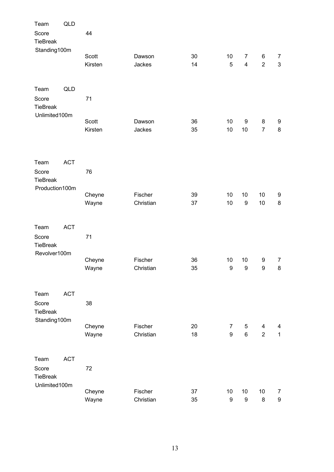| Team                                              | QLD        |                  |                      |          |                        |                        |                       |                                    |
|---------------------------------------------------|------------|------------------|----------------------|----------|------------------------|------------------------|-----------------------|------------------------------------|
| Score<br><b>TieBreak</b>                          |            | 44               |                      |          |                        |                        |                       |                                    |
| Standing100m                                      |            | Scott<br>Kirsten | Dawson<br>Jackes     | 30<br>14 | 10<br>5                | $\overline{7}$<br>4    | 6<br>$\overline{2}$   | $\overline{7}$<br>$\mathfrak{S}$   |
| Team<br>Score<br><b>TieBreak</b>                  | <b>QLD</b> | 71               |                      |          |                        |                        |                       |                                    |
| Unlimited100m                                     |            | Scott<br>Kirsten | Dawson<br>Jackes     | 36<br>35 | 10<br>10               | 9<br>10                | 8<br>$\overline{7}$   | 9<br>$\bf 8$                       |
| Team<br>Score<br><b>TieBreak</b>                  | <b>ACT</b> | 76               |                      |          |                        |                        |                       |                                    |
| Production100m                                    |            | Cheyne<br>Wayne  | Fischer<br>Christian | 39<br>37 | 10<br>10               | 10<br>$\boldsymbol{9}$ | 10<br>10              | 9<br>$\bf 8$                       |
| Team<br>Score<br><b>TieBreak</b>                  | <b>ACT</b> | 71               |                      |          |                        |                        |                       |                                    |
| Revolver100m                                      |            | Cheyne<br>Wayne  | Fischer<br>Christian | 36<br>35 | 10<br>9                | 10<br>$\boldsymbol{9}$ | 9<br>$\boldsymbol{9}$ | $\overline{7}$<br>8                |
| Team<br>Score<br><b>TieBreak</b>                  | <b>ACT</b> | 38               |                      |          |                        |                        |                       |                                    |
| Standing100m                                      |            | Cheyne<br>Wayne  | Fischer<br>Christian | 20<br>18 | $\overline{7}$<br>9    | 5<br>6                 | 4<br>$\overline{2}$   | 4<br>$\mathbf{1}$                  |
| Team<br>Score<br><b>TieBreak</b><br>Unlimited100m | <b>ACT</b> | 72               |                      |          |                        |                        |                       |                                    |
|                                                   |            | Cheyne<br>Wayne  | Fischer<br>Christian | 37<br>35 | 10<br>$\boldsymbol{9}$ | 10<br>$\boldsymbol{9}$ | 10<br>$\bf 8$         | $\overline{7}$<br>$\boldsymbol{9}$ |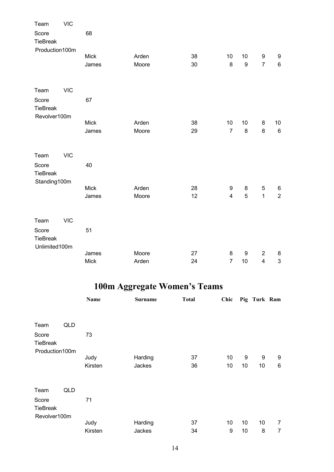| Team                     | <b>VIC</b> |             |       |    |                         |                  |                         |                |
|--------------------------|------------|-------------|-------|----|-------------------------|------------------|-------------------------|----------------|
| Score<br><b>TieBreak</b> |            | 68          |       |    |                         |                  |                         |                |
| Production100m           |            |             |       |    |                         |                  |                         |                |
|                          |            | <b>Mick</b> | Arden | 38 | 10                      | 10               | $\boldsymbol{9}$        | 9              |
|                          |            | James       | Moore | 30 | 8                       | $\boldsymbol{9}$ | $\overline{7}$          | $\,6\,$        |
| Team                     | <b>VIC</b> |             |       |    |                         |                  |                         |                |
| Score<br><b>TieBreak</b> |            | 67          |       |    |                         |                  |                         |                |
| Revolver100m             |            | <b>Mick</b> | Arden | 38 | 10                      | 10               | 8                       | 10             |
|                          |            | James       | Moore | 29 | $\overline{7}$          | $\bf 8$          | 8                       | $\,6\,$        |
| Team                     | <b>VIC</b> |             |       |    |                         |                  |                         |                |
| Score<br><b>TieBreak</b> |            | 40          |       |    |                         |                  |                         |                |
| Standing100m             |            |             |       |    |                         |                  |                         |                |
|                          |            | <b>Mick</b> | Arden | 28 | 9                       | 8                | 5                       | 6              |
|                          |            | James       | Moore | 12 | $\overline{\mathbf{4}}$ | $\sqrt{5}$       | $\mathbf{1}$            | $\overline{2}$ |
| Team                     | <b>VIC</b> |             |       |    |                         |                  |                         |                |
| Score<br><b>TieBreak</b> |            | 51          |       |    |                         |                  |                         |                |
| Unlimited100m            |            |             |       |    |                         |                  |                         |                |
|                          |            | James       | Moore | 27 | 8                       | 9                | $\overline{2}$          | 8              |
|                          |            | <b>Mick</b> | Arden | 24 | $\overline{7}$          | 10               | $\overline{\mathbf{4}}$ | 3              |

# **100m Aggregate Women's Teams**

|                 |     | Name    | <b>Surname</b> | <b>Total</b> | Chic |    | Pig Turk Ram |                |
|-----------------|-----|---------|----------------|--------------|------|----|--------------|----------------|
|                 |     |         |                |              |      |    |              |                |
| Team            | QLD |         |                |              |      |    |              |                |
| Score           |     | 73      |                |              |      |    |              |                |
| <b>TieBreak</b> |     |         |                |              |      |    |              |                |
| Production100m  |     |         |                |              |      |    |              |                |
|                 |     | Judy    | Harding        | 37           | 10   | 9  | 9            | 9              |
|                 |     | Kirsten | Jackes         | 36           | 10   | 10 | 10           | $\,6\,$        |
|                 |     |         |                |              |      |    |              |                |
| Team            | QLD |         |                |              |      |    |              |                |
| Score           |     | 71      |                |              |      |    |              |                |
| <b>TieBreak</b> |     |         |                |              |      |    |              |                |
| Revolver100m    |     |         |                |              |      |    |              |                |
|                 |     | Judy    | Harding        | 37           | 10   | 10 | 10           | $\overline{7}$ |
|                 |     | Kirsten | Jackes         | 34           | 9    | 10 | 8            | 7              |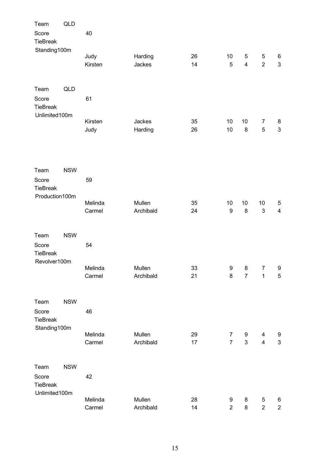| Team                     | <b>QLD</b> |                 |                   |          |                  |                |                     |                         |
|--------------------------|------------|-----------------|-------------------|----------|------------------|----------------|---------------------|-------------------------|
| Score<br><b>TieBreak</b> |            | 40              |                   |          |                  |                |                     |                         |
| Standing100m             |            |                 |                   |          |                  |                |                     |                         |
|                          |            | Judy<br>Kirsten | Harding<br>Jackes | 26<br>14 | 10<br>5          | 5<br>4         | 5<br>$\overline{2}$ | 6<br>$\mathfrak{S}$     |
|                          |            |                 |                   |          |                  |                |                     |                         |
| Team                     | QLD        |                 |                   |          |                  |                |                     |                         |
| Score<br><b>TieBreak</b> |            | 61              |                   |          |                  |                |                     |                         |
| Unlimited100m            |            |                 |                   |          |                  |                |                     |                         |
|                          |            | Kirsten         | Jackes            | 35       | 10               | 10             | 7                   | 8                       |
|                          |            | Judy            | Harding           | 26       | 10               | 8              | 5                   | $\mathsf 3$             |
|                          |            |                 |                   |          |                  |                |                     |                         |
| Team                     | <b>NSW</b> |                 |                   |          |                  |                |                     |                         |
| Score                    |            | 59              |                   |          |                  |                |                     |                         |
| <b>TieBreak</b>          |            |                 |                   |          |                  |                |                     |                         |
| Production100m           |            | Melinda         | Mullen            | 35       | 10               | 10             | 10                  | 5                       |
|                          |            | Carmel          | Archibald         | 24       | $\boldsymbol{9}$ | $\bf 8$        | $\mathbf{3}$        | $\overline{\mathbf{4}}$ |
|                          |            |                 |                   |          |                  |                |                     |                         |
| Team                     | <b>NSW</b> |                 |                   |          |                  |                |                     |                         |
| Score<br><b>TieBreak</b> |            | 54              |                   |          |                  |                |                     |                         |
| Revolver100m             |            |                 |                   |          |                  |                |                     |                         |
|                          |            | Melinda         | Mullen            | 33       | $\boldsymbol{9}$ | 8              | $\overline{7}$      | 9                       |
|                          |            | Carmel          | Archibald         | 21       | 8                | $\overline{7}$ | $\mathbf 1$         | 5                       |
| Team                     | <b>NSW</b> |                 |                   |          |                  |                |                     |                         |
| Score                    |            | 46              |                   |          |                  |                |                     |                         |
| <b>TieBreak</b>          |            |                 |                   |          |                  |                |                     |                         |
| Standing100m             |            | Melinda         | Mullen            | 29       | $\overline{7}$   | 9              | 4                   | 9                       |
|                          |            | Carmel          | Archibald         | 17       | $\overline{7}$   | 3              | $\overline{4}$      | $\mathfrak{S}$          |
|                          |            |                 |                   |          |                  |                |                     |                         |
| Team                     | <b>NSW</b> |                 |                   |          |                  |                |                     |                         |
| Score                    |            | 42              |                   |          |                  |                |                     |                         |
| <b>TieBreak</b>          |            |                 |                   |          |                  |                |                     |                         |
| Unlimited100m            |            | Melinda         | Mullen            | 28       | $\boldsymbol{9}$ | 8              | 5                   | 6                       |
|                          |            | Carmel          | Archibald         | 14       | $\overline{2}$   | 8              | $\overline{c}$      | $\overline{a}$          |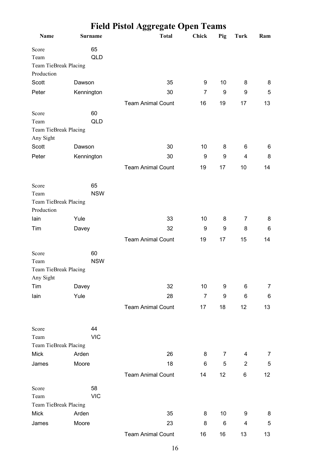|                                    |                  | <b>Field Pistol Aggregate Open Teams</b> |                |     |                |     |
|------------------------------------|------------------|------------------------------------------|----------------|-----|----------------|-----|
| Name                               | <b>Surname</b>   | <b>Total</b>                             | <b>Chick</b>   | Pig | Turk           | Ram |
| Score                              | 65               |                                          |                |     |                |     |
| Team                               | <b>QLD</b>       |                                          |                |     |                |     |
| Team TieBreak Placing              |                  |                                          |                |     |                |     |
| Production                         |                  |                                          |                |     |                |     |
| Scott                              | Dawson           | 35                                       | 9              | 10  | 8              | 8   |
| Peter                              | Kennington       | 30                                       | 7              | 9   | 9              | 5   |
|                                    |                  | <b>Team Animal Count</b>                 | 16             | 19  | 17             | 13  |
| Score                              | 60               |                                          |                |     |                |     |
| Team                               | <b>QLD</b>       |                                          |                |     |                |     |
| Team TieBreak Placing<br>Any Sight |                  |                                          |                |     |                |     |
| Scott                              | Dawson           | 30                                       | 10             | 8   | 6              | 6   |
| Peter                              | Kennington       | 30                                       | 9              | 9   | 4              | 8   |
|                                    |                  |                                          |                |     |                |     |
|                                    |                  | <b>Team Animal Count</b>                 | 19             | 17  | 10             | 14  |
| Score                              | 65               |                                          |                |     |                |     |
| Team                               | <b>NSW</b>       |                                          |                |     |                |     |
| Team TieBreak Placing              |                  |                                          |                |     |                |     |
| Production                         |                  |                                          |                |     |                |     |
| lain                               | Yule             | 33                                       | 10             | 8   | $\overline{7}$ | 8   |
| Tim                                | Davey            | 32                                       | 9              | 9   | 8              | 6   |
|                                    |                  | <b>Team Animal Count</b>                 | 19             | 17  | 15             | 14  |
|                                    |                  |                                          |                |     |                |     |
| Score                              | 60<br><b>NSW</b> |                                          |                |     |                |     |
| Team<br>Team TieBreak Placing      |                  |                                          |                |     |                |     |
| Any Sight                          |                  |                                          |                |     |                |     |
| Tim                                | Davey            | 32                                       | 10             | 9   | 6              | 7   |
| lain                               | Yule             | 28                                       | $\overline{7}$ | 9   | 6              | 6   |
|                                    |                  | <b>Team Animal Count</b>                 | 17             | 18  | 12             | 13  |
|                                    |                  |                                          |                |     |                |     |
| Score                              | 44               |                                          |                |     |                |     |
| Team                               | <b>VIC</b>       |                                          |                |     |                |     |
| Team TieBreak Placing              |                  |                                          |                |     |                |     |
| <b>Mick</b>                        | Arden            | 26                                       | 8              | 7   | $\overline{4}$ | 7   |
| James                              | Moore            | 18                                       | 6              | 5   | $\overline{2}$ | 5   |
|                                    |                  | <b>Team Animal Count</b>                 | 14             | 12  | 6              | 12  |
| Score                              | 58               |                                          |                |     |                |     |
| Team                               | <b>VIC</b>       |                                          |                |     |                |     |
| Team TieBreak Placing              |                  |                                          |                |     |                |     |
| <b>Mick</b>                        | Arden            | 35                                       | 8              | 10  | 9              | 8   |
| James                              | Moore            | 23                                       | 8              | 6   | 4              | 5   |
|                                    |                  | <b>Team Animal Count</b>                 | 16             | 16  | 13             | 13  |
|                                    |                  |                                          |                |     |                |     |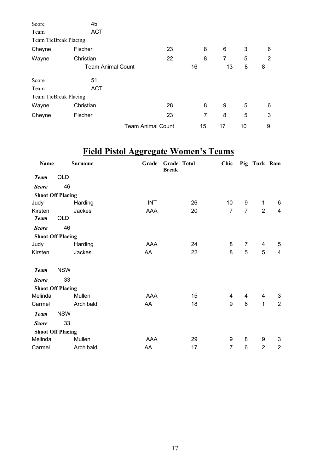| Score                 | 45                       |                          |    |    |    |   |
|-----------------------|--------------------------|--------------------------|----|----|----|---|
| Team                  | <b>ACT</b>               |                          |    |    |    |   |
| Team TieBreak Placing |                          |                          |    |    |    |   |
| Cheyne                | Fischer                  | 23                       | 8  | 6  | 3  | 6 |
| Wayne                 | Christian                | 22                       | 8  | 7  | 5  | 2 |
|                       | <b>Team Animal Count</b> |                          | 16 | 13 | 8  | 8 |
| Score                 | 51                       |                          |    |    |    |   |
| Team                  | <b>ACT</b>               |                          |    |    |    |   |
| Team TieBreak Placing |                          |                          |    |    |    |   |
| Wayne                 | Christian                | 28                       | 8  | 9  | 5  | 6 |
| Cheyne                | Fischer                  | 23                       | 7  | 8  | 5  | 3 |
|                       |                          | <b>Team Animal Count</b> | 15 | 17 | 10 | 9 |

# **Field Pistol Aggregate Women's Teams**

| Name                     |            | <b>Surname</b> | Grade      | Grade Total<br><b>Break</b> | Chic           |                | Pig Turk Ram   |                         |
|--------------------------|------------|----------------|------------|-----------------------------|----------------|----------------|----------------|-------------------------|
| <b>Team</b>              | QLD        |                |            |                             |                |                |                |                         |
| <b>Score</b>             | 46         |                |            |                             |                |                |                |                         |
| <b>Shoot Off Placing</b> |            |                |            |                             |                |                |                |                         |
| Judy                     |            | Harding        | <b>INT</b> | 26                          | 10             | 9              | $\mathbf 1$    | 6                       |
| Kirsten                  |            | Jackes         | AAA        | 20                          | $\overline{7}$ | $\overline{7}$ | 2              | $\overline{\mathbf{4}}$ |
| <b>Team</b>              | QLD        |                |            |                             |                |                |                |                         |
| <b>Score</b>             | 46         |                |            |                             |                |                |                |                         |
| <b>Shoot Off Placing</b> |            |                |            |                             |                |                |                |                         |
| Judy                     |            | Harding        | AAA        | 24                          | 8              | $\overline{7}$ | 4              | 5                       |
| Kirsten                  |            | Jackes         | AA         | 22                          | 8              | 5              | 5              | $\overline{\mathbf{4}}$ |
| <b>Team</b>              | <b>NSW</b> |                |            |                             |                |                |                |                         |
| <b>Score</b>             | 33         |                |            |                             |                |                |                |                         |
| <b>Shoot Off Placing</b> |            |                |            |                             |                |                |                |                         |
| Melinda                  |            | Mullen         | AAA        | 15                          | 4              | 4              | 4              | 3                       |
| Carmel                   |            | Archibald      | AA         | 18                          | 9              | 6              | 1              | $\overline{2}$          |
| <b>Team</b>              | <b>NSW</b> |                |            |                             |                |                |                |                         |
| <b>Score</b>             | 33         |                |            |                             |                |                |                |                         |
| <b>Shoot Off Placing</b> |            |                |            |                             |                |                |                |                         |
| Melinda                  |            | Mullen         | AAA        | 29                          | 9              | 8              | 9              | 3                       |
| Carmel                   |            | Archibald      | AA         | 17                          | $\overline{7}$ | 6              | $\overline{2}$ | $\overline{c}$          |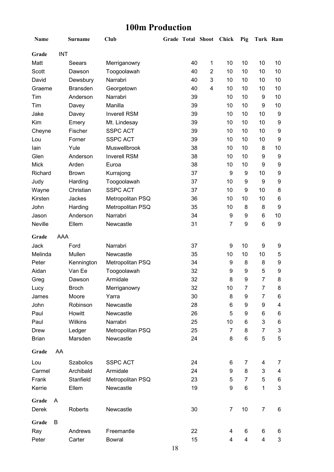### **100m Production**

| Name         |            | <b>Surname</b>   | Club                | Grade Total Shoot |    |                         | Chick                   | Pig            | Turk Ram       |                           |
|--------------|------------|------------------|---------------------|-------------------|----|-------------------------|-------------------------|----------------|----------------|---------------------------|
| Grade        | <b>INT</b> |                  |                     |                   |    |                         |                         |                |                |                           |
| Matt         |            | Seears           | Merriganowry        |                   | 40 | $\mathbf 1$             | 10                      | 10             | 10             | 10                        |
| Scott        |            | Dawson           | Toogoolawah         |                   | 40 | $\overline{2}$          | 10                      | 10             | 10             | 10                        |
| David        |            | Dewsbury         | Narrabri            |                   | 40 | 3                       | 10                      | 10             | 10             | 10                        |
| Graeme       |            | <b>Bransden</b>  | Georgetown          |                   | 40 | $\overline{\mathbf{4}}$ | 10                      | 10             | 10             | 10                        |
| Tim          |            | Anderson         | Narrabri            |                   | 39 |                         | 10                      | 10             | 9              | 10                        |
| Tim          |            | Davey            | Manilla             |                   | 39 |                         | 10                      | 10             | 9              | 10                        |
| Jake         |            | Davey            | <b>Inverell RSM</b> |                   | 39 |                         | 10                      | 10             | 10             | 9                         |
| Kim          |            | Emery            | Mt. Lindesay        |                   | 39 |                         | 10                      | 10             | 10             | $\boldsymbol{9}$          |
| Cheyne       |            | Fischer          | <b>SSPC ACT</b>     |                   | 39 |                         | 10                      | 10             | 10             | 9                         |
| Lou          |            | Forner           | <b>SSPC ACT</b>     |                   | 39 |                         | 10                      | 10             | 10             | 9                         |
| lain         |            | Yule             | Muswellbrook        |                   | 38 |                         | 10                      | 10             | 8              | 10                        |
| Glen         |            | Anderson         | <b>Inverell RSM</b> |                   | 38 |                         | 10                      | 10             | 9              | $\boldsymbol{9}$          |
| <b>Mick</b>  |            | Arden            | Euroa               |                   | 38 |                         | 10                      | 10             | 9              | 9                         |
| Richard      |            | <b>Brown</b>     | Kurrajong           |                   | 37 |                         | 9                       | 9              | 10             | 9                         |
| Judy         |            | Harding          | Toogoolawah         |                   | 37 |                         | 10                      | 9              | 9              | 9                         |
| Wayne        |            | Christian        | <b>SSPC ACT</b>     |                   | 37 |                         | 10                      | 9              | 10             | 8                         |
| Kirsten      |            | Jackes           | Metropolitan PSQ    |                   | 36 |                         | 10                      | 10             | 10             | 6                         |
| John         |            | Harding          | Metropolitan PSQ    |                   | 35 |                         | 10                      | 8              | 8              | 9                         |
| Jason        |            | Anderson         | Narrabri            |                   | 34 |                         | 9                       | 9              | 6              | 10                        |
| Neville      |            | Ellem            | Newcastle           |                   | 31 |                         | $\overline{7}$          | 9              | 6              | $\boldsymbol{9}$          |
| Grade        | AAA        |                  |                     |                   |    |                         |                         |                |                |                           |
| Jack         |            | Ford             | Narrabri            |                   | 37 |                         | 9                       | 10             | 9              | 9                         |
| Melinda      |            | Mullen           | Newcastle           |                   | 35 |                         | 10                      | 10             | 10             | 5                         |
| Peter        |            | Kennington       | Metropolitan PSQ    |                   | 34 |                         | 9                       | 8              | 8              | 9                         |
| Aidan        |            | Van Ee           | Toogoolawah         |                   | 32 |                         | 9                       | 9              | 5              | 9                         |
| Greg         |            | Dawson           | Armidale            |                   | 32 |                         | 8                       | 9              | $\overline{7}$ | 8                         |
| Lucy         |            | <b>Broch</b>     | Merriganowry        |                   | 32 |                         | 10                      | $\overline{7}$ | $\overline{7}$ | 8                         |
| James        |            | Moore            | Yarra               |                   | 30 |                         | 8                       | 9              | 7              | 6                         |
| John         |            | Robinson         | Newcastle           |                   | 28 |                         | 6                       | 9              | 9              | 4                         |
| Paul         |            | Howitt           | Newcastle           |                   | 26 |                         | 5                       | 9              | 6              | 6                         |
| Paul         |            | <b>Wilkins</b>   | Narrabri            |                   | 25 |                         | 10                      | 6              | 3              | 6                         |
| <b>Drew</b>  |            | Ledger           | Metropolitan PSQ    |                   | 25 |                         | $\overline{7}$          | 8              | 7              | $\ensuremath{\mathsf{3}}$ |
| <b>Brian</b> |            | Marsden          | Newcastle           |                   | 24 |                         | 8                       | 6              | 5              | 5                         |
| Grade        | AA         |                  |                     |                   |    |                         |                         |                |                |                           |
| Lou          |            | <b>Szabolics</b> | <b>SSPC ACT</b>     |                   | 24 |                         | 6                       | $\overline{7}$ | 4              | 7                         |
| Carmel       |            | Archibald        | Armidale            |                   | 24 |                         | 9                       | 8              | 3              | 4                         |
| Frank        |            | Stanfield        | Metropolitan PSQ    |                   | 23 |                         | 5                       | 7              | 5              | 6                         |
| Kerrie       |            | Ellem            | Newcastle           |                   | 19 |                         | 9                       | 6              | 1              | 3                         |
| Grade        | A          |                  |                     |                   |    |                         |                         |                |                |                           |
| Derek        |            | Roberts          | Newcastle           |                   | 30 |                         | 7                       | 10             | 7              | 6                         |
| Grade        | В          |                  |                     |                   |    |                         |                         |                |                |                           |
| Ray          |            | Andrews          | Freemantle          |                   | 22 |                         | 4                       | 6              | 6              | 6                         |
| Peter        |            | Carter           | <b>Bowral</b>       |                   | 15 |                         | $\overline{\mathbf{4}}$ | 4              | 4              | 3                         |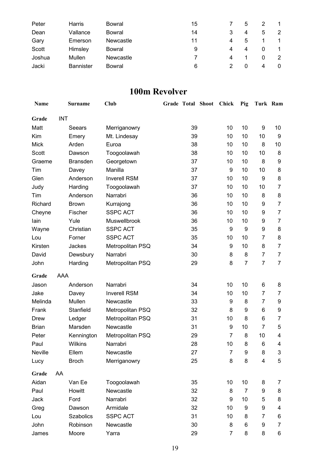| Peter  | Harris           | <b>Bowral</b>    | 15 |   | 5        |   |                |
|--------|------------------|------------------|----|---|----------|---|----------------|
| Dean   | Vallance         | Bowral           | 14 |   | 4        | 5 | $\overline{2}$ |
| Gary   | Emerson          | <b>Newcastle</b> | 11 | 4 | 5        |   |                |
| Scott  | Himsley          | Bowral           | 9  | 4 | 4        |   |                |
| Joshua | Mullen           | Newcastle        |    | 4 |          | 0 | 2              |
| Jacki  | <b>Bannister</b> | Bowral           | 6  |   | $\Omega$ | 4 | 0              |

### **100m Revolver**

| <b>Name</b>  |            | <b>Surname</b>   | <b>Club</b>         | Grade Total Shoot |    | <b>Chick</b>   | Pig              | Turk Ram       |                         |
|--------------|------------|------------------|---------------------|-------------------|----|----------------|------------------|----------------|-------------------------|
| Grade        | <b>INT</b> |                  |                     |                   |    |                |                  |                |                         |
| Matt         |            | Seears           | Merriganowry        |                   | 39 | 10             | 10               | 9              | 10                      |
| Kim          |            | Emery            | Mt. Lindesay        |                   | 39 | 10             | 10               | 10             | 9                       |
| <b>Mick</b>  |            | Arden            | Euroa               |                   | 38 | 10             | 10               | 8              | 10                      |
| Scott        |            | Dawson           | Toogoolawah         |                   | 38 | 10             | 10               | 10             | 8                       |
| Graeme       |            | <b>Bransden</b>  | Georgetown          |                   | 37 | 10             | 10               | 8              | 9                       |
| Tim          |            | Davey            | Manilla             |                   | 37 | 9              | 10               | 10             | 8                       |
| Glen         |            | Anderson         | <b>Inverell RSM</b> |                   | 37 | 10             | 10               | 9              | 8                       |
| Judy         |            | Harding          | Toogoolawah         |                   | 37 | 10             | 10               | 10             | $\overline{7}$          |
| Tim          |            | Anderson         | Narrabri            |                   | 36 | 10             | 10               | 8              | 8                       |
| Richard      |            | <b>Brown</b>     | Kurrajong           |                   | 36 | 10             | 10               | 9              | $\overline{7}$          |
| Cheyne       |            | Fischer          | <b>SSPC ACT</b>     |                   | 36 | 10             | 10               | 9              | $\overline{7}$          |
| lain         |            | Yule             | Muswellbrook        |                   | 36 | 10             | 10               | 9              | $\overline{7}$          |
| Wayne        |            | Christian        | <b>SSPC ACT</b>     |                   | 35 | 9              | 9                | 9              | 8                       |
| Lou          |            | Forner           | <b>SSPC ACT</b>     |                   | 35 | 10             | 10               | 7              | 8                       |
| Kirsten      |            | Jackes           | Metropolitan PSQ    |                   | 34 | 9              | 10               | 8              | $\overline{7}$          |
| David        |            | Dewsbury         | Narrabri            |                   | 30 | 8              | 8                | $\overline{7}$ | $\overline{7}$          |
| John         |            | Harding          | Metropolitan PSQ    |                   | 29 | 8              | $\overline{7}$   | $\overline{7}$ | $\overline{7}$          |
| Grade        | AAA        |                  |                     |                   |    |                |                  |                |                         |
| Jason        |            | Anderson         | Narrabri            |                   | 34 | 10             | 10               | 6              | 8                       |
| Jake         |            | Davey            | <b>Inverell RSM</b> |                   | 34 | 10             | 10               | 7              | 7                       |
| Melinda      |            | Mullen           | Newcastle           |                   | 33 | 9              | 8                | 7              | 9                       |
| Frank        |            | Stanfield        | Metropolitan PSQ    |                   | 32 | 8              | 9                | 6              | $\boldsymbol{9}$        |
| Drew         |            | Ledger           | Metropolitan PSQ    |                   | 31 | 10             | 8                | 6              | $\overline{7}$          |
| <b>Brian</b> |            | Marsden          | Newcastle           |                   | 31 | 9              | 10               | 7              | 5                       |
| Peter        |            | Kennington       | Metropolitan PSQ    |                   | 29 | 7              | 8                | 10             | 4                       |
| Paul         |            | Wilkins          | Narrabri            |                   | 28 | 10             | 8                | 6              | 4                       |
| Neville      |            | Ellem            | Newcastle           |                   | 27 | $\overline{7}$ | $\boldsymbol{9}$ | 8              | 3                       |
| Lucy         |            | <b>Broch</b>     | Merriganowry        |                   | 25 | 8              | 8                | 4              | 5                       |
| Grade        | AA         |                  |                     |                   |    |                |                  |                |                         |
| Aidan        |            | Van Ee           | Toogoolawah         |                   | 35 | 10             | 10               | 8              | 7                       |
| Paul         |            | Howitt           | Newcastle           |                   | 32 | 8              | $\overline{7}$   | 9              | 8                       |
| Jack         |            | Ford             | Narrabri            |                   | 32 | 9              | 10               | 5              | 8                       |
| Greg         |            | Dawson           | Armidale            |                   | 32 | 10             | 9                | 9              | $\overline{\mathbf{4}}$ |
| Lou          |            | <b>Szabolics</b> | <b>SSPC ACT</b>     |                   | 31 | 10             | 8                | 7              | 6                       |
| John         |            | Robinson         | Newcastle           |                   | 30 | 8              | 6                | 9              | $\overline{7}$          |
| James        |            | Moore            | Yarra               |                   | 29 | 7              | 8                | 8              | 6                       |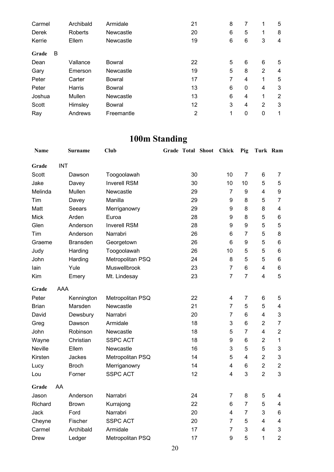| Carmel     | Archibald      | Armidale      | 21 | 8 | 7              | 1              | 5 |
|------------|----------------|---------------|----|---|----------------|----------------|---|
| Derek      | <b>Roberts</b> | Newcastle     | 20 | 6 | 5              | 1              | 8 |
| Kerrie     | Ellem          | Newcastle     | 19 | 6 | 6              | 3              | 4 |
| B<br>Grade |                |               |    |   |                |                |   |
| Dean       | Vallance       | Bowral        | 22 | 5 | 6              | 6              | 5 |
| Gary       | Emerson        | Newcastle     | 19 | 5 | 8              | 2              | 4 |
| Peter      | Carter         | Bowral        | 17 | 7 | $\overline{4}$ | 1              | 5 |
| Peter      | Harris         | Bowral        | 13 | 6 | $\mathbf{0}$   | 4              | 3 |
| Joshua     | Mullen         | Newcastle     | 13 | 6 | 4              | 1              | 2 |
| Scott      | Himsley        | <b>Bowral</b> | 12 | 3 | 4              | $\overline{2}$ | 3 |
| Ray        | Andrews        | Freemantle    | 2  | 1 | 0              | 0              | 1 |

### **100m Standing**

| Name        |            | Surname         | Club                | <b>Grade Total Shoot</b> |    | Chick                   | Pig            | Turk Ram                |                         |
|-------------|------------|-----------------|---------------------|--------------------------|----|-------------------------|----------------|-------------------------|-------------------------|
| Grade       | <b>INT</b> |                 |                     |                          |    |                         |                |                         |                         |
| Scott       |            | Dawson          | Toogoolawah         |                          | 30 | 10                      | $\overline{7}$ | 6                       | $\overline{7}$          |
| Jake        |            | Davey           | <b>Inverell RSM</b> |                          | 30 | 10                      | 10             | 5                       | 5                       |
| Melinda     |            | Mullen          | Newcastle           |                          | 29 | $\overline{7}$          | 9              | 4                       | 9                       |
| Tim         |            | Davey           | Manilla             |                          | 29 | 9                       | 8              | 5                       | $\overline{7}$          |
| Matt        |            | Seears          | Merriganowry        |                          | 29 | 9                       | 8              | 8                       | 4                       |
| <b>Mick</b> |            | Arden           | Euroa               |                          | 28 | 9                       | 8              | 5                       | 6                       |
| Glen        |            | Anderson        | <b>Inverell RSM</b> |                          | 28 | 9                       | 9              | 5                       | 5                       |
| Tim         |            | Anderson        | Narrabri            |                          | 26 | 6                       | $\overline{7}$ | 5                       | 8                       |
| Graeme      |            | <b>Bransden</b> | Georgetown          |                          | 26 | 6                       | 9              | 5                       | 6                       |
| Judy        |            | Harding         | Toogoolawah         |                          | 26 | 10                      | 5              | 5                       | $6\phantom{1}6$         |
| John        |            | Harding         | Metropolitan PSQ    |                          | 24 | 8                       | 5              | 5                       | $\,6$                   |
| lain        |            | Yule            | Muswellbrook        |                          | 23 | $\overline{7}$          | 6              | 4                       | 6                       |
| Kim         |            | Emery           | Mt. Lindesay        |                          | 23 | $\overline{7}$          | $\overline{7}$ | 4                       | 5                       |
| Grade       | AAA        |                 |                     |                          |    |                         |                |                         |                         |
| Peter       |            | Kennington      | Metropolitan PSQ    |                          | 22 | $\overline{\mathbf{4}}$ | $\overline{7}$ | 6                       | 5                       |
| Brian       |            | Marsden         | Newcastle           |                          | 21 | $\overline{7}$          | 5              | 5                       | $\overline{\mathbf{4}}$ |
| David       |            | Dewsbury        | Narrabri            |                          | 20 | $\overline{7}$          | 6              | $\overline{\mathbf{4}}$ | 3                       |
| Greg        |            | Dawson          | Armidale            |                          | 18 | 3                       | 6              | $\overline{2}$          | $\overline{7}$          |
| John        |            | Robinson        | Newcastle           |                          | 18 | 5                       | $\overline{7}$ | $\overline{\mathbf{4}}$ | $\overline{2}$          |
| Wayne       |            | Christian       | <b>SSPC ACT</b>     |                          | 18 | $\boldsymbol{9}$        | 6              | $\overline{2}$          | $\mathbf{1}$            |
| Neville     |            | Ellem           | Newcastle           |                          | 16 | 3                       | 5              | 5                       | 3                       |
| Kirsten     |            | Jackes          | Metropolitan PSQ    |                          | 14 | 5                       | $\overline{4}$ | $\overline{2}$          | 3                       |
| Lucy        |            | <b>Broch</b>    | Merriganowry        |                          | 14 | $\overline{\mathbf{4}}$ | 6              | $\overline{2}$          | $\overline{2}$          |
| Lou         |            | Forner          | <b>SSPC ACT</b>     |                          | 12 | $\overline{4}$          | 3              | $\overline{2}$          | 3                       |
| Grade       | AA         |                 |                     |                          |    |                         |                |                         |                         |
| Jason       |            | Anderson        | Narrabri            |                          | 24 | $\overline{7}$          | 8              | 5                       | 4                       |
| Richard     |            | <b>Brown</b>    | Kurrajong           |                          | 22 | 6                       | $\overline{7}$ | 5                       | 4                       |
| Jack        |            | Ford            | Narrabri            |                          | 20 | 4                       | $\overline{7}$ | 3                       | 6                       |
| Cheyne      |            | Fischer         | <b>SSPC ACT</b>     |                          | 20 | $\overline{7}$          | 5              | 4                       | 4                       |
| Carmel      |            | Archibald       | Armidale            |                          | 17 | $\overline{7}$          | 3              | 4                       | $\mathsf 3$             |
| Drew        |            | Ledger          | Metropolitan PSQ    |                          | 17 | 9                       | 5              | 1                       | $\overline{2}$          |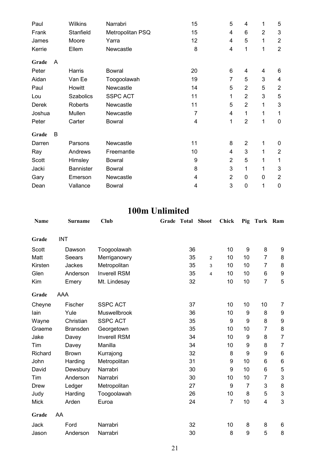| Paul   |   | <b>Wilkins</b>   | Narrabri         | 15 | 5              | 4              | 1              | 5              |
|--------|---|------------------|------------------|----|----------------|----------------|----------------|----------------|
| Frank  |   | Stanfield        | Metropolitan PSQ | 15 | 4              | 6              | $\overline{2}$ | 3              |
| James  |   | Moore            | Yarra            | 12 | 4              | 5              | 1              | $\overline{2}$ |
| Kerrie |   | Ellem            | Newcastle        | 8  | 4              | 1              | 1              | $\overline{2}$ |
| Grade  | A |                  |                  |    |                |                |                |                |
| Peter  |   | Harris           | <b>Bowral</b>    | 20 | 6              | 4              | 4              | 6              |
| Aidan  |   | Van Ee           | Toogoolawah      | 19 | 7              | 5              | 3              | 4              |
| Paul   |   | Howitt           | Newcastle        | 14 | 5              | $\overline{2}$ | 5              | $\overline{2}$ |
| Lou    |   | Szabolics        | <b>SSPC ACT</b>  | 11 | 1              | $\overline{2}$ | 3              | 5              |
| Derek  |   | Roberts          | Newcastle        | 11 | 5              | $\overline{2}$ | 1              | 3              |
| Joshua |   | Mullen           | Newcastle        | 7  | 4              | 1              | 1              | 1              |
| Peter  |   | Carter           | <b>Bowral</b>    | 4  | 1              | $\overline{2}$ | 1              | $\mathbf 0$    |
| Grade  | B |                  |                  |    |                |                |                |                |
| Darren |   | Parsons          | Newcastle        | 11 | 8              | $\overline{2}$ | 1              | 0              |
| Ray    |   | Andrews          | Freemantle       | 10 | 4              | 3              | 1              | $\overline{2}$ |
| Scott  |   | Himsley          | <b>Bowral</b>    | 9  | $\overline{2}$ | 5              | 1              | 1              |
| Jacki  |   | <b>Bannister</b> | <b>Bowral</b>    | 8  | 3              | 1              | 1              | 3              |
| Gary   |   | Emerson          | Newcastle        | 4  | $\overline{2}$ | $\mathbf 0$    | $\mathbf 0$    | $\overline{2}$ |
| Dean   |   | Vallance         | <b>Bowral</b>    | 4  | 3              | 0              | 1              | $\mathbf 0$    |

### **100m Unlimited**

| Name        |            | <b>Surname</b>  | Club                | Grade | Total | <b>Shoot</b>   | Chick          | Pig            | Turk Ram       |                           |
|-------------|------------|-----------------|---------------------|-------|-------|----------------|----------------|----------------|----------------|---------------------------|
|             |            |                 |                     |       |       |                |                |                |                |                           |
| Grade       | <b>INT</b> |                 |                     |       |       |                |                |                |                |                           |
| Scott       |            | Dawson          | Toogoolawah         |       | 36    |                | 10             | 9              | 8              | 9                         |
| Matt        |            | Seears          | Merriganowry        |       | 35    | 2              | 10             | 10             | $\overline{7}$ | 8                         |
| Kirsten     |            | Jackes          | Metropolitan        |       | 35    | 3              | 10             | 10             | 7              | 8                         |
| Glen        |            | Anderson        | <b>Inverell RSM</b> |       | 35    | $\overline{4}$ | 10             | 10             | 6              | 9                         |
| Kim         |            | Emery           | Mt. Lindesay        |       | 32    |                | 10             | 10             | $\overline{7}$ | 5                         |
| Grade       | AAA        |                 |                     |       |       |                |                |                |                |                           |
| Cheyne      |            | Fischer         | <b>SSPC ACT</b>     |       | 37    |                | 10             | 10             | 10             | 7                         |
| lain        |            | Yule            | Muswellbrook        |       | 36    |                | 10             | 9              | 8              | 9                         |
| Wayne       |            | Christian       | <b>SSPC ACT</b>     |       | 35    |                | 9              | 9              | 8              | 9                         |
| Graeme      |            | <b>Bransden</b> | Georgetown          |       | 35    |                | 10             | 10             | $\overline{7}$ | 8                         |
| Jake        |            | Davey           | <b>Inverell RSM</b> |       | 34    |                | 10             | 9              | 8              | $\overline{7}$            |
| Tim         |            | Davey           | Manilla             |       | 34    |                | 10             | 9              | 8              | $\overline{7}$            |
| Richard     |            | <b>Brown</b>    | Kurrajong           |       | 32    |                | 8              | 9              | 9              | $\,6\,$                   |
| John        |            | Harding         | Metropolitan        |       | 31    |                | 9              | 10             | 6              | $\,6$                     |
| David       |            | Dewsbury        | Narrabri            |       | 30    |                | 9              | 10             | 6              | 5                         |
| Tim         |            | Anderson        | Narrabri            |       | 30    |                | 10             | 10             | 7              | 3                         |
| Drew        |            | Ledger          | Metropolitan        |       | 27    |                | 9              | $\overline{7}$ | 3              | 8                         |
| Judy        |            | Harding         | Toogoolawah         |       | 26    |                | 10             | 8              | 5              | $\ensuremath{\mathsf{3}}$ |
| <b>Mick</b> |            | Arden           | Euroa               |       | 24    |                | $\overline{7}$ | 10             | 4              | 3                         |
| Grade       | AA         |                 |                     |       |       |                |                |                |                |                           |
| Jack        |            | Ford            | Narrabri            |       | 32    |                | 10             | 8              | 8              | 6                         |
| Jason       |            | Anderson        | Narrabri            |       | 30    |                | 8              | 9              | 5              | 8                         |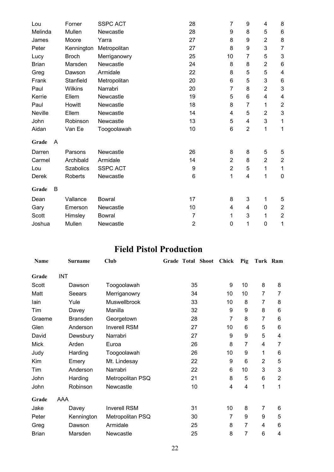| Lou          |   | Forner           | <b>SSPC ACT</b> | 28             | 7              | 9              | 4                | 8                         |
|--------------|---|------------------|-----------------|----------------|----------------|----------------|------------------|---------------------------|
| Melinda      |   | Mullen           | Newcastle       | 28             | 9              | 8              | 5                | 6                         |
| James        |   | Moore            | Yarra           | 27             | 8              | 9              | $\overline{2}$   | 8                         |
| Peter        |   | Kennington       | Metropolitan    | 27             | 8              | 9              | 3                | $\overline{7}$            |
| Lucy         |   | <b>Broch</b>     | Merriganowry    | 25             | 10             | 7              | 5                | $\sqrt{3}$                |
| <b>Brian</b> |   | Marsden          | Newcastle       | 24             | 8              | 8              | $\overline{2}$   | $\,6$                     |
| Greg         |   | Dawson           | Armidale        | 22             | 8              | 5              | 5                | $\overline{\mathbf{4}}$   |
| Frank        |   | Stanfield        | Metropolitan    | 20             | 6              | 5              | 3                | 6                         |
| Paul         |   | <b>Wilkins</b>   | Narrabri        | 20             | 7              | 8              | $\overline{2}$   | 3                         |
| Kerrie       |   | Ellem            | Newcastle       | 19             | 5              | 6              | 4                | 4                         |
| Paul         |   | Howitt           | Newcastle       | 18             | 8              | 7              | 1                | $\boldsymbol{2}$          |
| Neville      |   | Ellem            | Newcastle       | 14             | 4              | 5              | 2                | $\ensuremath{\mathsf{3}}$ |
| John         |   | Robinson         | Newcastle       | 13             | 5              | 4              | 3                | 1                         |
| Aidan        |   | Van Ee           | Toogoolawah     | 10             | 6              | $\overline{2}$ | 1                | 1                         |
| Grade        | A |                  |                 |                |                |                |                  |                           |
| Darren       |   | Parsons          | Newcastle       | 26             | 8              | 8              | 5                | 5                         |
| Carmel       |   | Archibald        | Armidale        | 14             | $\overline{2}$ | 8              | $\overline{2}$   | $\mathbf{2}$              |
| Lou          |   | <b>Szabolics</b> | <b>SSPC ACT</b> | 9              | $\overline{2}$ | 5              | 1                | 1                         |
| Derek        |   | <b>Roberts</b>   | Newcastle       | 6              | 1              | 4              | 1                | $\mathbf 0$               |
| Grade        | B |                  |                 |                |                |                |                  |                           |
| Dean         |   | Vallance         | <b>Bowral</b>   | 17             | 8              | 3              | 1                | 5                         |
| Gary         |   | Emerson          | Newcastle       | 10             | 4              | 4              | 0                | $\overline{2}$            |
| Scott        |   | Himsley          | <b>Bowral</b>   | $\overline{7}$ | 1              | 3              | 1                | $\overline{2}$            |
| Joshua       |   | Mullen           | Newcastle       | $\overline{2}$ | $\pmb{0}$      | 1              | $\boldsymbol{0}$ | 1                         |

### **Field Pistol Production**

| Name         | <b>Surname</b>  | Club                | <b>Grade Total Shoot</b> |    | <b>Chick</b> | Pig            | Turk Ram |                |
|--------------|-----------------|---------------------|--------------------------|----|--------------|----------------|----------|----------------|
| Grade        | <b>INT</b>      |                     |                          |    |              |                |          |                |
| Scott        | Dawson          | Toogoolawah         |                          | 35 | 9            | 10             | 8        | 8              |
| Matt         | Seears          | Merriganowry        |                          | 34 | 10           | 10             | 7        | 7              |
| lain         | Yule            | Muswellbrook        |                          | 33 | 10           | 8              | 7        | 8              |
| Tim          | Davey           | Manilla             |                          | 32 | 9            | 9              | 8        | 6              |
| Graeme       | <b>Bransden</b> | Georgetown          |                          | 28 | 7            | 8              | 7        | 6              |
| Glen         | Anderson        | <b>Inverell RSM</b> |                          | 27 | 10           | 6              | 5        | 6              |
| David        | Dewsbury        | Narrabri            |                          | 27 | 9            | 9              | 5        | 4              |
| <b>Mick</b>  | Arden           | Euroa               |                          | 26 | 8            | 7              | 4        | 7              |
| Judy         | Harding         | Toogoolawah         |                          | 26 | 10           | 9              | 1        | 6              |
| Kim          | Emery           | Mt. Lindesay        |                          | 22 | 9            | 6              | 2        | 5              |
| Tim          | Anderson        | Narrabri            |                          | 22 | 6            | 10             | 3        | 3              |
| John         | Harding         | Metropolitan PSQ    |                          | 21 | 8            | 5              | 6        | $\overline{2}$ |
| John         | Robinson        | Newcastle           |                          | 10 | 4            | 4              | 1        | 1              |
| Grade        | AAA             |                     |                          |    |              |                |          |                |
| Jake         | Davey           | <b>Inverell RSM</b> |                          | 31 | 10           | 8              | 7        | 6              |
| Peter        | Kennington      | Metropolitan PSQ    |                          | 30 | 7            | 9              | 9        | 5              |
| Greg         | Dawson          | Armidale            |                          | 25 | 8            | $\overline{7}$ | 4        | 6              |
| <b>Brian</b> | Marsden         | Newcastle           |                          | 25 | 8            | 7              | 6        | 4              |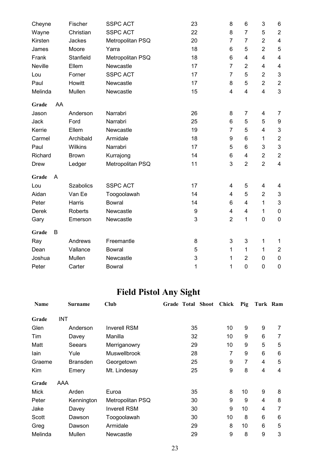| Cheyne      | Fischer          | <b>SSPC ACT</b>  | 23 | 8                       | 6                       | 3              | 6                         |
|-------------|------------------|------------------|----|-------------------------|-------------------------|----------------|---------------------------|
| Wayne       | Christian        | <b>SSPC ACT</b>  | 22 | 8                       | $\overline{7}$          | 5              | $\overline{c}$            |
| Kirsten     | Jackes           | Metropolitan PSQ | 20 | $\overline{7}$          | $\overline{7}$          | $\overline{2}$ | $\overline{\mathcal{A}}$  |
| James       | Moore            | Yarra            | 18 | 6                       | 5                       | $\overline{2}$ | 5                         |
| Frank       | Stanfield        | Metropolitan PSQ | 18 | 6                       | 4                       | 4              | $\overline{\mathbf{4}}$   |
| Neville     | Ellem            | Newcastle        | 17 | $\overline{7}$          | $\overline{2}$          | 4              | $\overline{\mathcal{A}}$  |
| Lou         | Forner           | <b>SSPC ACT</b>  | 17 | $\overline{7}$          | 5                       | $\overline{2}$ | $\sqrt{3}$                |
| Paul        | Howitt           | Newcastle        | 17 | 8                       | 5                       | $\overline{2}$ | $\mathbf{2}$              |
| Melinda     | Mullen           | Newcastle        | 15 | 4                       | 4                       | 4              | 3                         |
| AA<br>Grade |                  |                  |    |                         |                         |                |                           |
| Jason       | Anderson         | Narrabri         | 26 | 8                       | 7                       | 4              | 7                         |
| Jack        | Ford             | Narrabri         | 25 | 6                       | 5                       | 5              | 9                         |
| Kerrie      | Ellem            | Newcastle        | 19 | 7                       | 5                       | 4              | $\sqrt{3}$                |
| Carmel      | Archibald        | Armidale         | 18 | 9                       | 6                       | 1              | $\overline{\mathbf{c}}$   |
| Paul        | <b>Wilkins</b>   | Narrabri         | 17 | 5                       | 6                       | 3              | $\ensuremath{\mathsf{3}}$ |
| Richard     | <b>Brown</b>     | Kurrajong        | 14 | 6                       | $\overline{\mathbf{4}}$ | $\overline{2}$ | $\sqrt{2}$                |
| <b>Drew</b> | Ledger           | Metropolitan PSQ | 11 | 3                       | $\overline{2}$          | $\overline{2}$ | $\overline{\mathbf{4}}$   |
| Grade<br>A  |                  |                  |    |                         |                         |                |                           |
| Lou         | <b>Szabolics</b> | <b>SSPC ACT</b>  | 17 | 4                       | 5                       | 4              | 4                         |
| Aidan       | Van Ee           | Toogoolawah      | 14 | $\overline{\mathbf{4}}$ | 5                       | $\overline{2}$ | $\sqrt{3}$                |
| Peter       | Harris           | <b>Bowral</b>    | 14 | 6                       | 4                       | 1              | $\mathsf 3$               |
| Derek       | Roberts          | Newcastle        | 9  | 4                       | 4                       | 1              | 0                         |
| Gary        | Emerson          | Newcastle        | 3  | $\overline{2}$          | 1                       | 0              | $\boldsymbol{0}$          |
| Grade<br>B  |                  |                  |    |                         |                         |                |                           |
| Ray         | Andrews          | Freemantle       | 8  | 3                       | 3                       | 1              | $\mathbf 1$               |
| Dean        | Vallance         | <b>Bowral</b>    | 5  | 1                       | 1                       | 1              | $\overline{c}$            |
| Joshua      | Mullen           | Newcastle        | 3  | 1                       | $\overline{2}$          | 0              | $\boldsymbol{0}$          |
| Peter       | Carter           | <b>Bowral</b>    | 1  | 1                       | 0                       | 0              | $\mathbf 0$               |

# **Field Pistol Any Sight**

| <b>Name</b> |            | Surname         | Club                | Grade Total Shoot | Chick | Pig | Turk Ram |   |
|-------------|------------|-----------------|---------------------|-------------------|-------|-----|----------|---|
| Grade       | <b>INT</b> |                 |                     |                   |       |     |          |   |
| Glen        |            | Anderson        | <b>Inverell RSM</b> | 35                | 10    | 9   | 9        | 7 |
| Tim         |            | Davey           | Manilla             | 32                | 10    | 9   | 6        | 7 |
| Matt        |            | Seears          | Merriganowry        | 29                | 10    | 9   | 5        | 5 |
| lain        |            | Yule            | <b>Muswellbrook</b> | 28                | 7     | 9   | 6        | 6 |
| Graeme      |            | <b>Bransden</b> | Georgetown          | 25                | 9     | 7   | 4        | 5 |
| Kim         |            | Emery           | Mt. Lindesay        | 25                | 9     | 8   | 4        | 4 |
| Grade       | AAA        |                 |                     |                   |       |     |          |   |
| Mick        |            | Arden           | Euroa               | 35                | 8     | 10  | 9        | 8 |
| Peter       |            | Kennington      | Metropolitan PSQ    | 30                | 9     | 9   | 4        | 8 |
| Jake        |            | Davey           | <b>Inverell RSM</b> | 30                | 9     | 10  | 4        | 7 |
| Scott       |            | Dawson          | Toogoolawah         | 30                | 10    | 8   | 6        | 6 |
| Greg        |            | Dawson          | Armidale            | 29                | 8     | 10  | 6        | 5 |
| Melinda     |            | Mullen          | Newcastle           | 29                | 9     | 8   | 9        | 3 |
|             |            |                 |                     |                   |       |     |          |   |